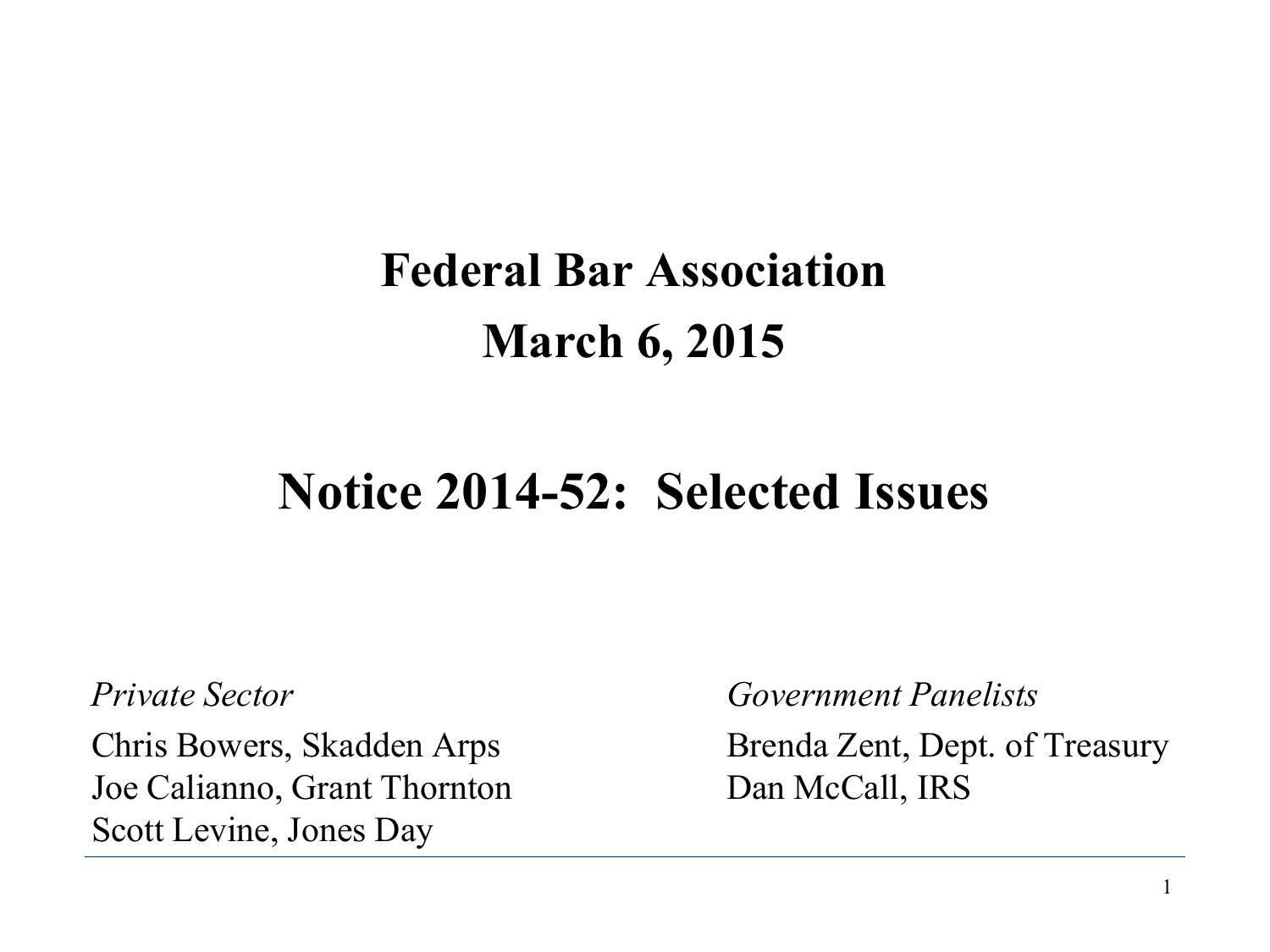#### **Federal Bar Association March 6, 2015**

#### **Notice 2014-52: Selected Issues**

Joe Calianno, Grant Thornton Dan McCall, IRS Scott Levine, Jones Day

*Private Sector Government Panelists*

Chris Bowers, Skadden Arps Brenda Zent, Dept. of Treasury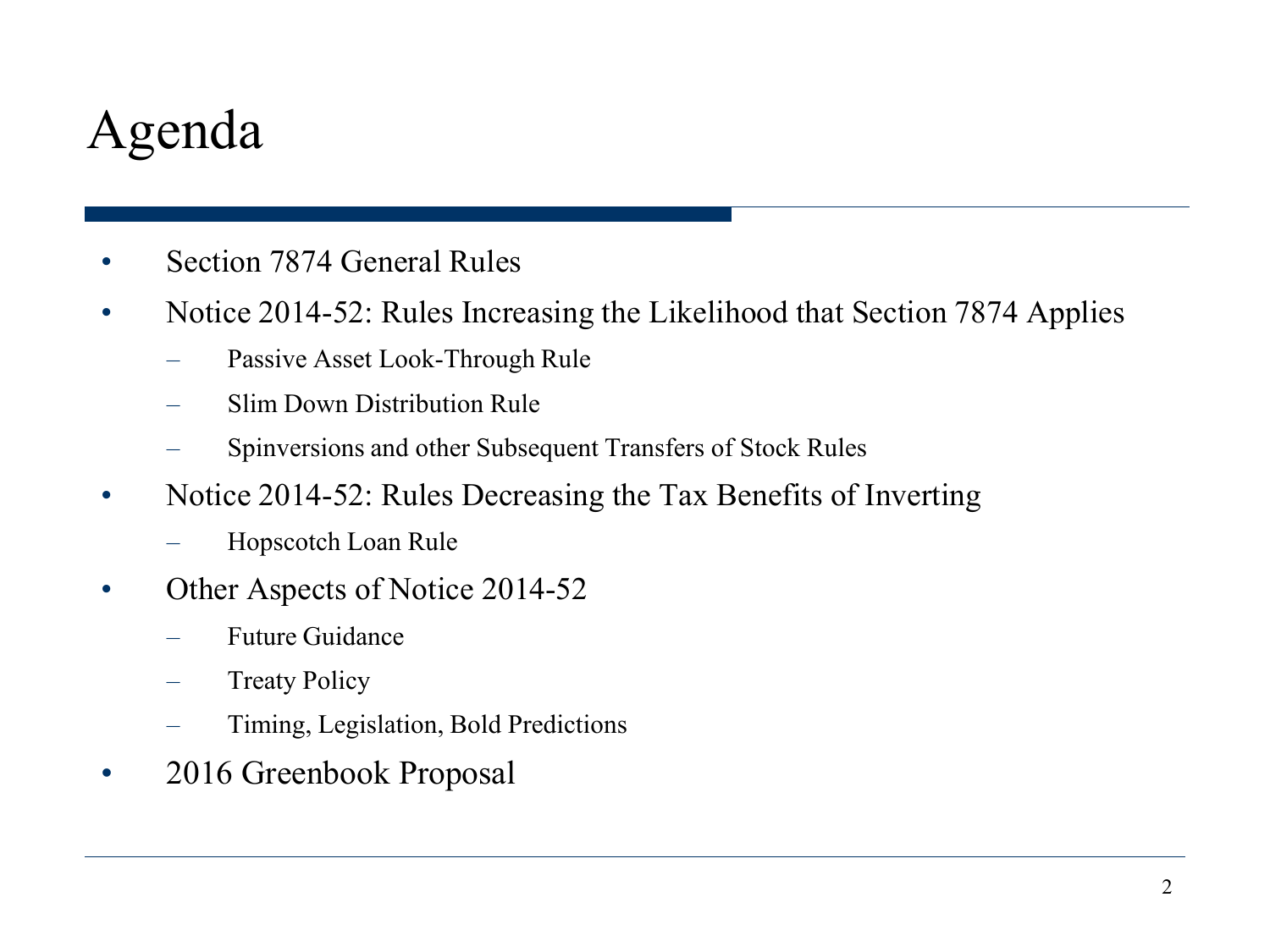#### Agenda

- Section 7874 General Rules
- Notice 2014-52: Rules Increasing the Likelihood that Section 7874 Applies
	- Passive Asset Look-Through Rule
	- Slim Down Distribution Rule
	- Spinversions and other Subsequent Transfers of Stock Rules
- Notice 2014-52: Rules Decreasing the Tax Benefits of Inverting
	- Hopscotch Loan Rule
- Other Aspects of Notice 2014-52
	- Future Guidance
	- **Treaty Policy**
	- Timing, Legislation, Bold Predictions
- 2016 Greenbook Proposal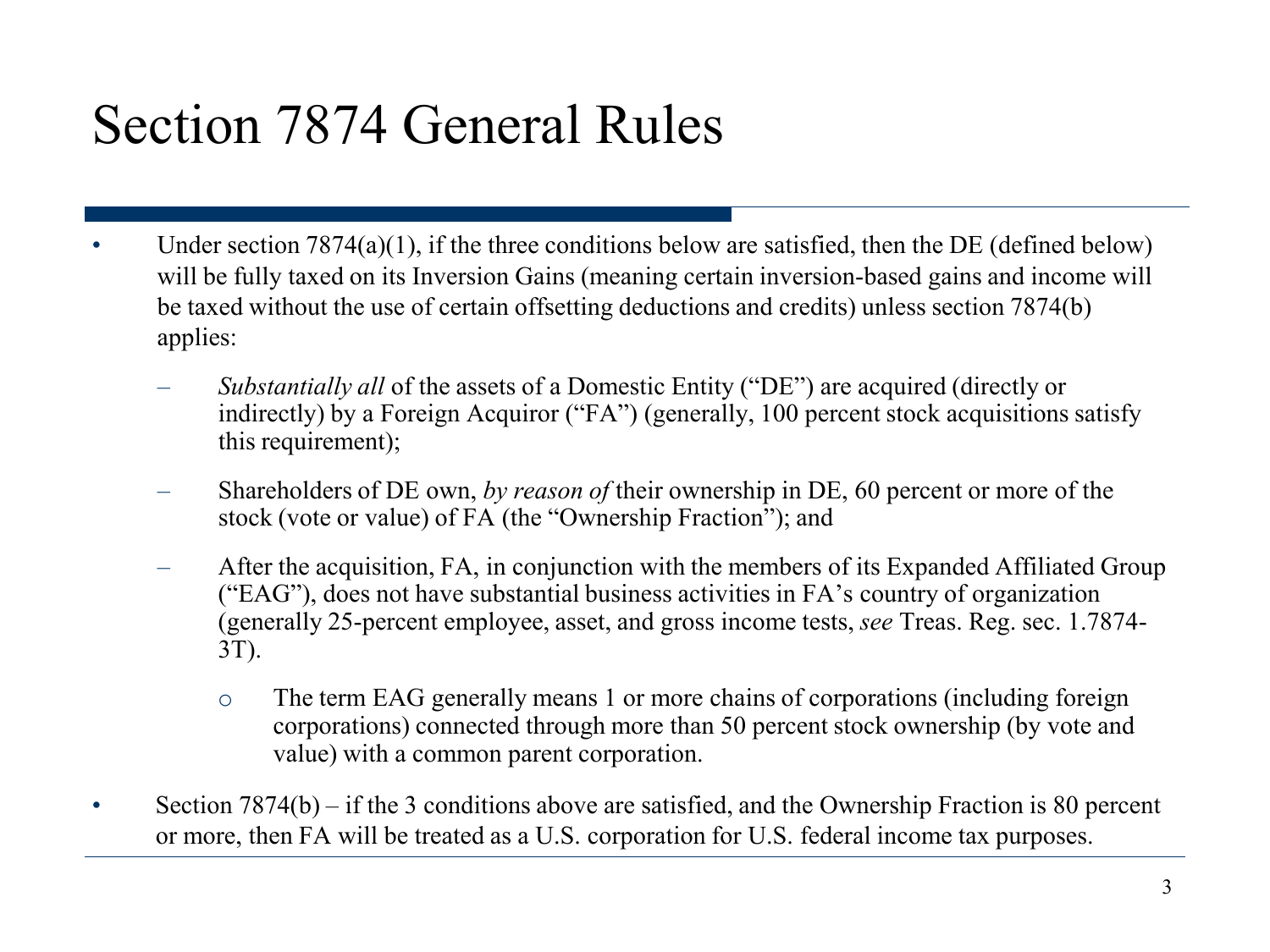#### Section 7874 General Rules

- Under section  $7874(a)(1)$ , if the three conditions below are satisfied, then the DE (defined below) will be fully taxed on its Inversion Gains (meaning certain inversion-based gains and income will be taxed without the use of certain offsetting deductions and credits) unless section 7874(b) applies:
	- *Substantially all* of the assets of a Domestic Entity ("DE") are acquired (directly or indirectly) by a Foreign Acquiror ("FA") (generally, 100 percent stock acquisitions satisfy this requirement);
	- Shareholders of DE own, *by reason of* their ownership in DE, 60 percent or more of the stock (vote or value) of FA (the "Ownership Fraction"); and
	- After the acquisition, FA, in conjunction with the members of its Expanded Affiliated Group ("EAG"), does not have substantial business activities in FA's country of organization (generally 25-percent employee, asset, and gross income tests, *see* Treas. Reg. sec. 1.7874- 3T).
		- o The term EAG generally means 1 or more chains of corporations (including foreign corporations) connected through more than 50 percent stock ownership (by vote and value) with a common parent corporation.
- Section 7874(b) if the 3 conditions above are satisfied, and the Ownership Fraction is 80 percent or more, then FA will be treated as a U.S. corporation for U.S. federal income tax purposes.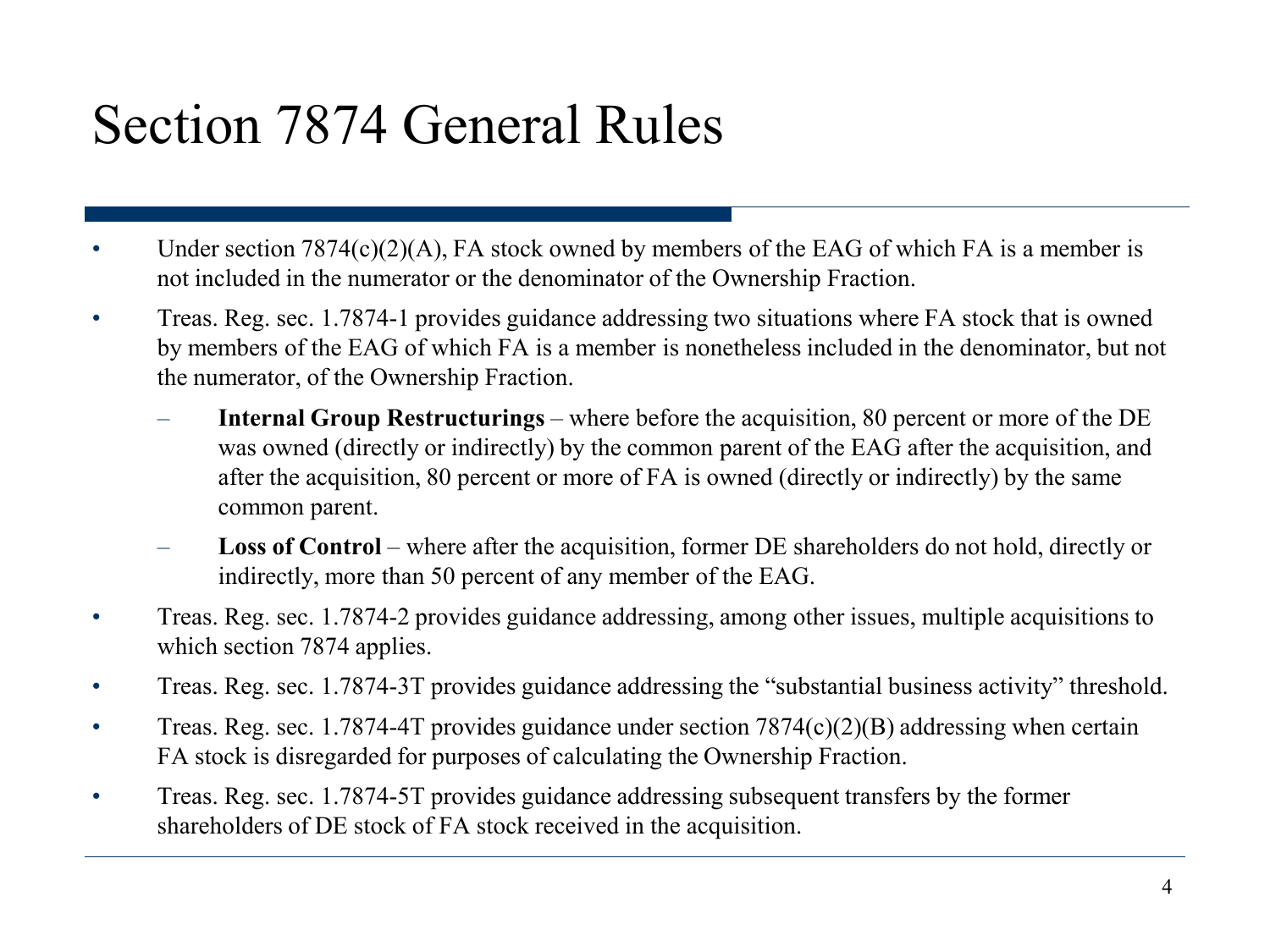#### Section 7874 General Rules

- Under section  $7874(c)(2)(A)$ , FA stock owned by members of the EAG of which FA is a member is not included in the numerator or the denominator of the Ownership Fraction.
- Treas. Reg. sec. 1.7874-1 provides guidance addressing two situations where FA stock that is owned by members of the EAG of which FA is a member is nonetheless included in the denominator, but not the numerator, of the Ownership Fraction.
	- **Internal Group Restructurings**  where before the acquisition, 80 percent or more of the DE was owned (directly or indirectly) by the common parent of the EAG after the acquisition, and after the acquisition, 80 percent or more of FA is owned (directly or indirectly) by the same common parent.
	- **Loss of Control**  where after the acquisition, former DE shareholders do not hold, directly or indirectly, more than 50 percent of any member of the EAG.
- Treas. Reg. sec. 1.7874-2 provides guidance addressing, among other issues, multiple acquisitions to which section 7874 applies.
- Treas. Reg. sec. 1.7874-3T provides guidance addressing the "substantial business activity" threshold.
- Treas. Reg. sec. 1.7874-4T provides guidance under section  $7874(c)(2)(B)$  addressing when certain FA stock is disregarded for purposes of calculating the Ownership Fraction.
- Treas. Reg. sec. 1.7874-5T provides guidance addressing subsequent transfers by the former shareholders of DE stock of FA stock received in the acquisition.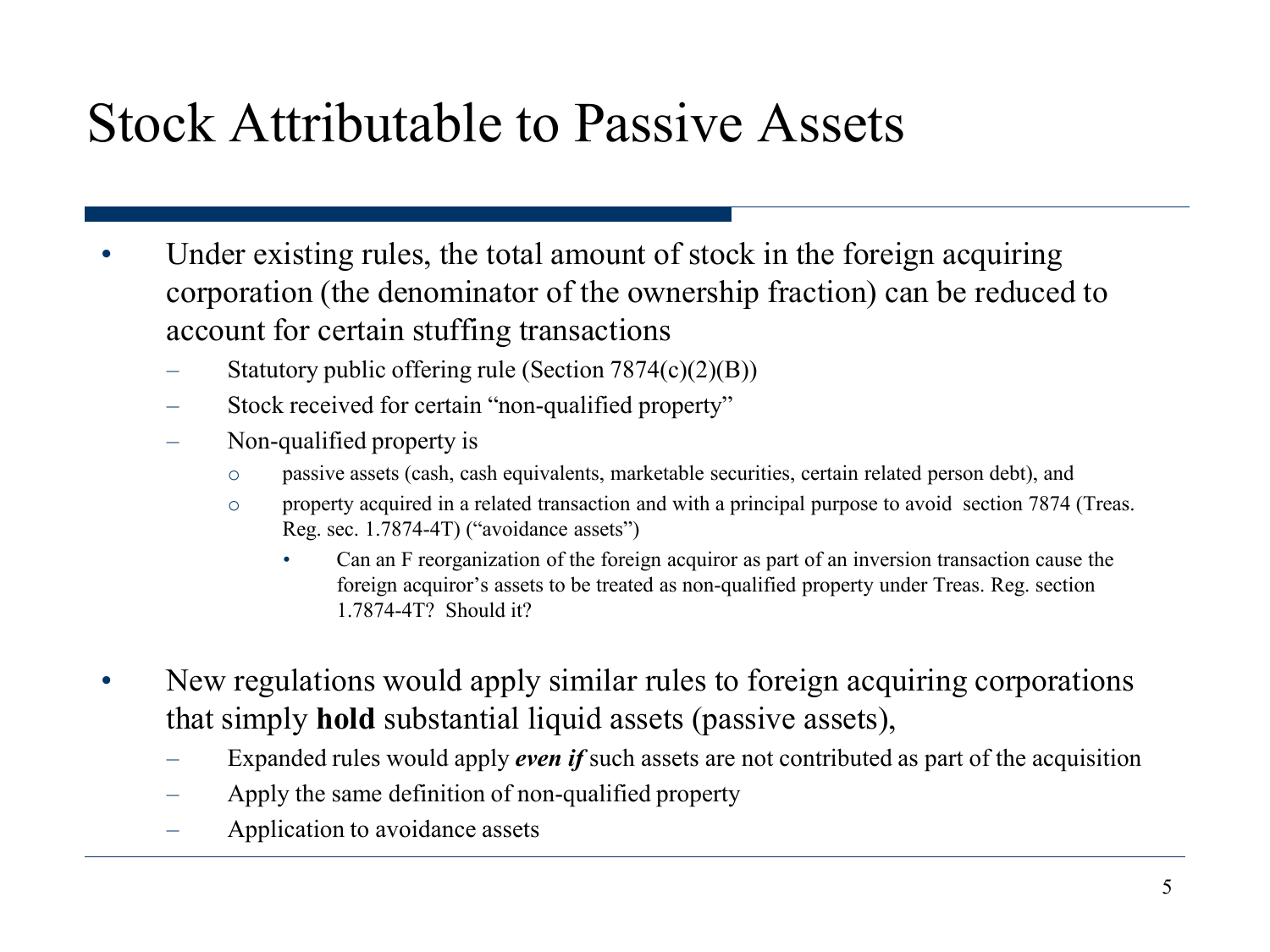#### Stock Attributable to Passive Assets

- Under existing rules, the total amount of stock in the foreign acquiring corporation (the denominator of the ownership fraction) can be reduced to account for certain stuffing transactions
	- Statutory public offering rule (Section 7874(c)(2)(B))
	- Stock received for certain "non-qualified property"
	- Non-qualified property is
		- o passive assets (cash, cash equivalents, marketable securities, certain related person debt), and
		- o property acquired in a related transaction and with a principal purpose to avoid section 7874 (Treas. Reg. sec. 1.7874-4T) ("avoidance assets")
			- Can an F reorganization of the foreign acquiror as part of an inversion transaction cause the foreign acquiror's assets to be treated as non-qualified property under Treas. Reg. section 1.7874-4T? Should it?
- New regulations would apply similar rules to foreign acquiring corporations that simply **hold** substantial liquid assets (passive assets),
	- Expanded rules would apply *even if* such assets are not contributed as part of the acquisition
	- Apply the same definition of non-qualified property
	- Application to avoidance assets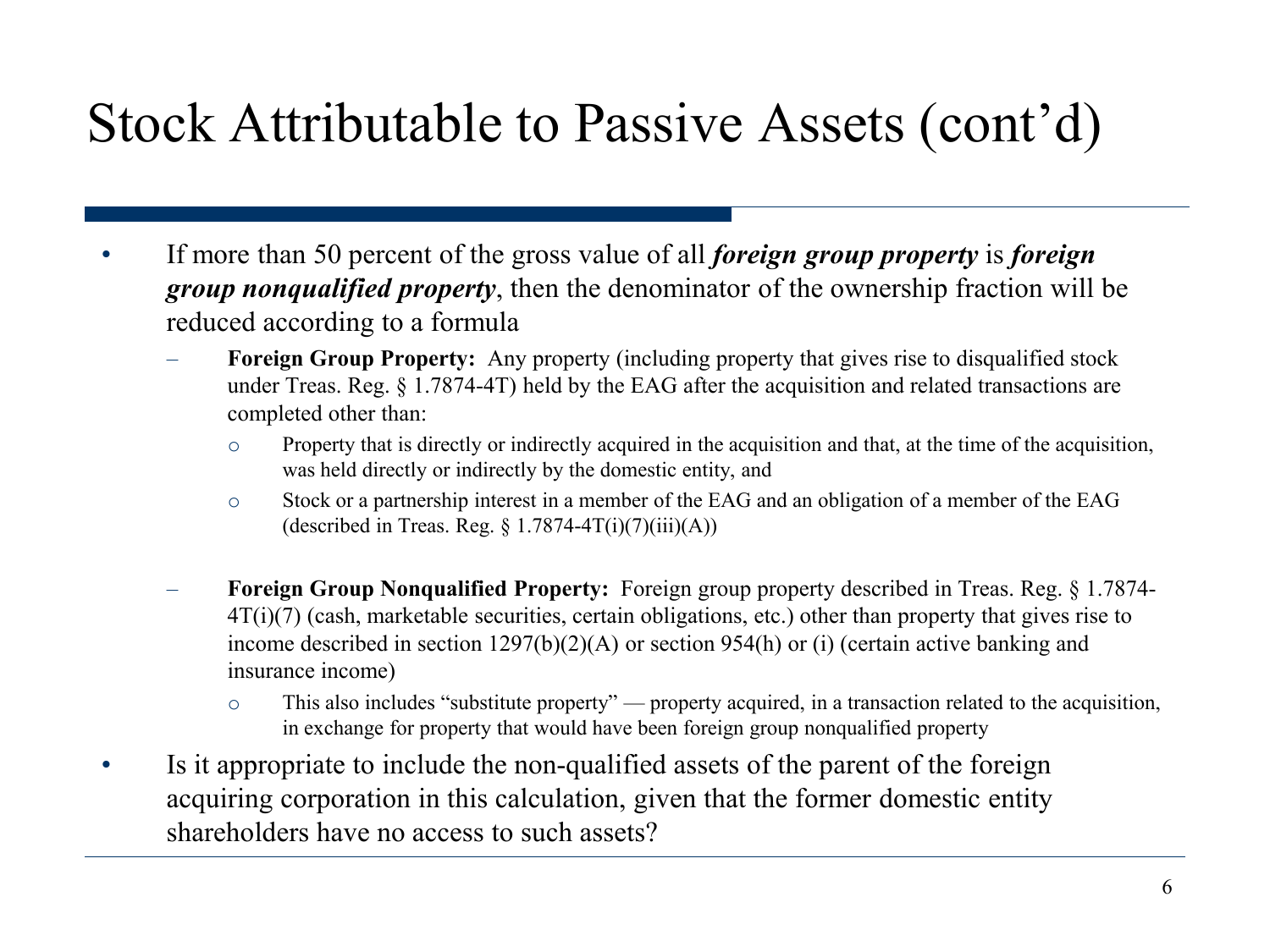#### Stock Attributable to Passive Assets (cont'd)

- If more than 50 percent of the gross value of all *foreign group property* is *foreign group nonqualified property*, then the denominator of the ownership fraction will be reduced according to a formula
	- **Foreign Group Property:** Any property (including property that gives rise to disqualified stock under Treas. Reg. § 1.7874-4T) held by the EAG after the acquisition and related transactions are completed other than:
		- o Property that is directly or indirectly acquired in the acquisition and that, at the time of the acquisition, was held directly or indirectly by the domestic entity, and
		- o Stock or a partnership interest in a member of the EAG and an obligation of a member of the EAG (described in Treas. Reg.  $\S 1.7874-4T(i)(7)(iii)(A))$
	- **Foreign Group Nonqualified Property:** Foreign group property described in Treas. Reg. § 1.7874- 4T(i)(7) (cash, marketable securities, certain obligations, etc.) other than property that gives rise to income described in section 1297(b)(2)(A) or section 954(h) or (i) (certain active banking and insurance income)
		- o This also includes "substitute property" property acquired, in a transaction related to the acquisition, in exchange for property that would have been foreign group nonqualified property
- Is it appropriate to include the non-qualified assets of the parent of the foreign acquiring corporation in this calculation, given that the former domestic entity shareholders have no access to such assets?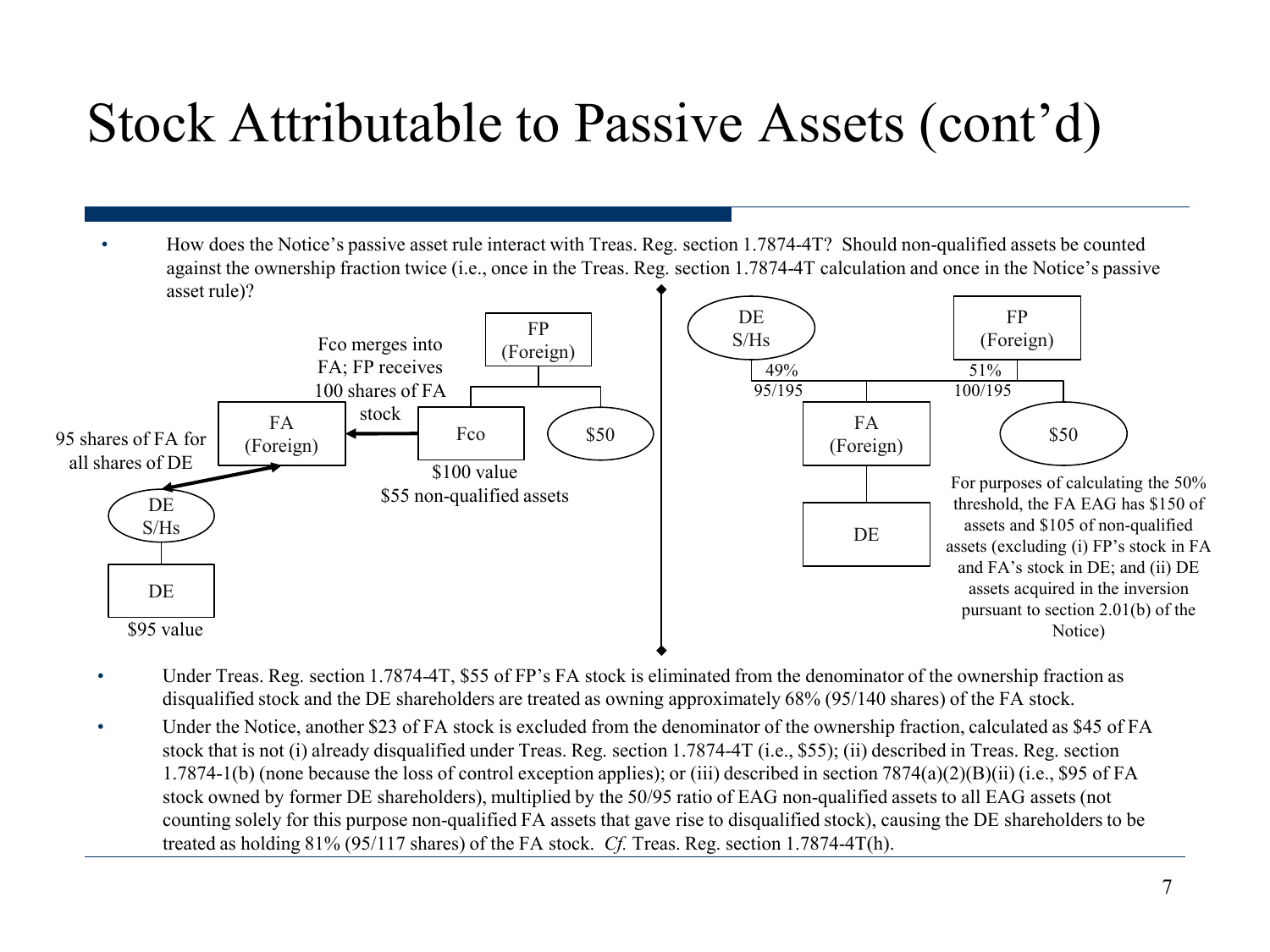#### Stock Attributable to Passive Assets (cont'd)

• How does the Notice's passive asset rule interact with Treas. Reg. section 1.7874-4T? Should non-qualified assets be counted against the ownership fraction twice (i.e., once in the Treas. Reg. section 1.7874-4T calculation and once in the Notice's passive asset rule)?



- Under Treas. Reg. section 1.7874-4T, \$55 of FP's FA stock is eliminated from the denominator of the ownership fraction as disqualified stock and the DE shareholders are treated as owning approximately 68% (95/140 shares) of the FA stock.
- Under the Notice, another \$23 of FA stock is excluded from the denominator of the ownership fraction, calculated as \$45 of FA stock that is not (i) already disqualified under Treas. Reg. section 1.7874-4T (i.e., \$55); (ii) described in Treas. Reg. section 1.7874-1(b) (none because the loss of control exception applies); or (iii) described in section 7874(a)(2)(B)(ii) (i.e., \$95 of FA stock owned by former DE shareholders), multiplied by the 50/95 ratio of EAG non-qualified assets to all EAG assets (not counting solely for this purpose non-qualified FA assets that gave rise to disqualified stock), causing the DE shareholders to be treated as holding 81% (95/117 shares) of the FA stock. *Cf.* Treas. Reg. section 1.7874-4T(h).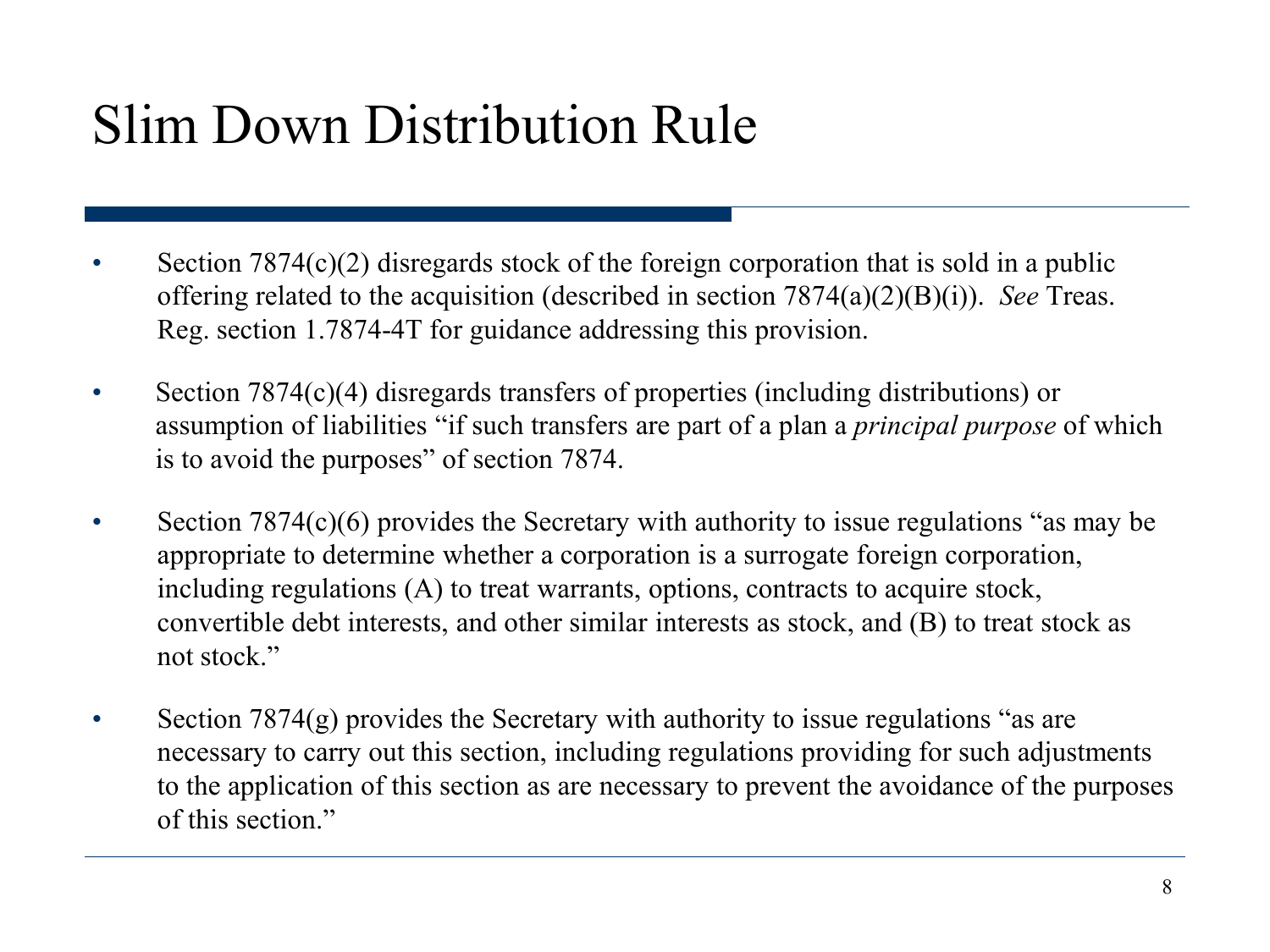#### Slim Down Distribution Rule

- Section 7874(c)(2) disregards stock of the foreign corporation that is sold in a public offering related to the acquisition (described in section 7874(a)(2)(B)(i)). *See* Treas. Reg. section 1.7874-4T for guidance addressing this provision.
- Section 7874(c)(4) disregards transfers of properties (including distributions) or assumption of liabilities "if such transfers are part of a plan a *principal purpose* of which is to avoid the purposes" of section 7874.
- Section 7874(c)(6) provides the Secretary with authority to issue regulations "as may be appropriate to determine whether a corporation is a surrogate foreign corporation, including regulations (A) to treat warrants, options, contracts to acquire stock, convertible debt interests, and other similar interests as stock, and (B) to treat stock as not stock."
- Section 7874(g) provides the Secretary with authority to issue regulations "as are necessary to carry out this section, including regulations providing for such adjustments to the application of this section as are necessary to prevent the avoidance of the purposes of this section."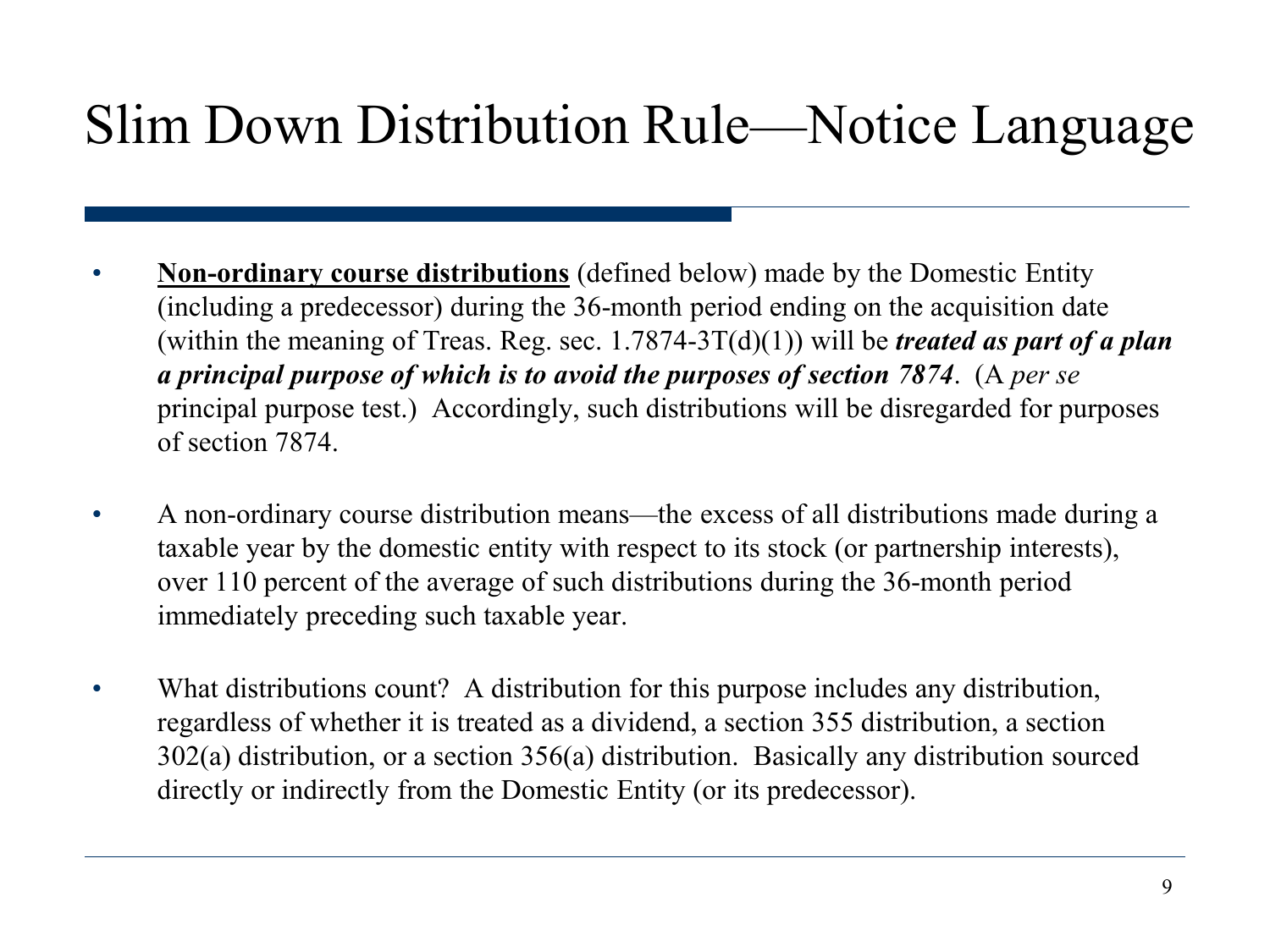#### Slim Down Distribution Rule—Notice Language

- **Non-ordinary course distributions** (defined below) made by the Domestic Entity (including a predecessor) during the 36-month period ending on the acquisition date (within the meaning of Treas. Reg. sec.  $1.7874-3T(d)(1)$ ) will be *treated as part of a plan a principal purpose of which is to avoid the purposes of section 7874*. (A *per se*  principal purpose test.) Accordingly, such distributions will be disregarded for purposes of section 7874.
- A non-ordinary course distribution means—the excess of all distributions made during a taxable year by the domestic entity with respect to its stock (or partnership interests), over 110 percent of the average of such distributions during the 36-month period immediately preceding such taxable year.
- What distributions count? A distribution for this purpose includes any distribution, regardless of whether it is treated as a dividend, a section 355 distribution, a section 302(a) distribution, or a section 356(a) distribution. Basically any distribution sourced directly or indirectly from the Domestic Entity (or its predecessor).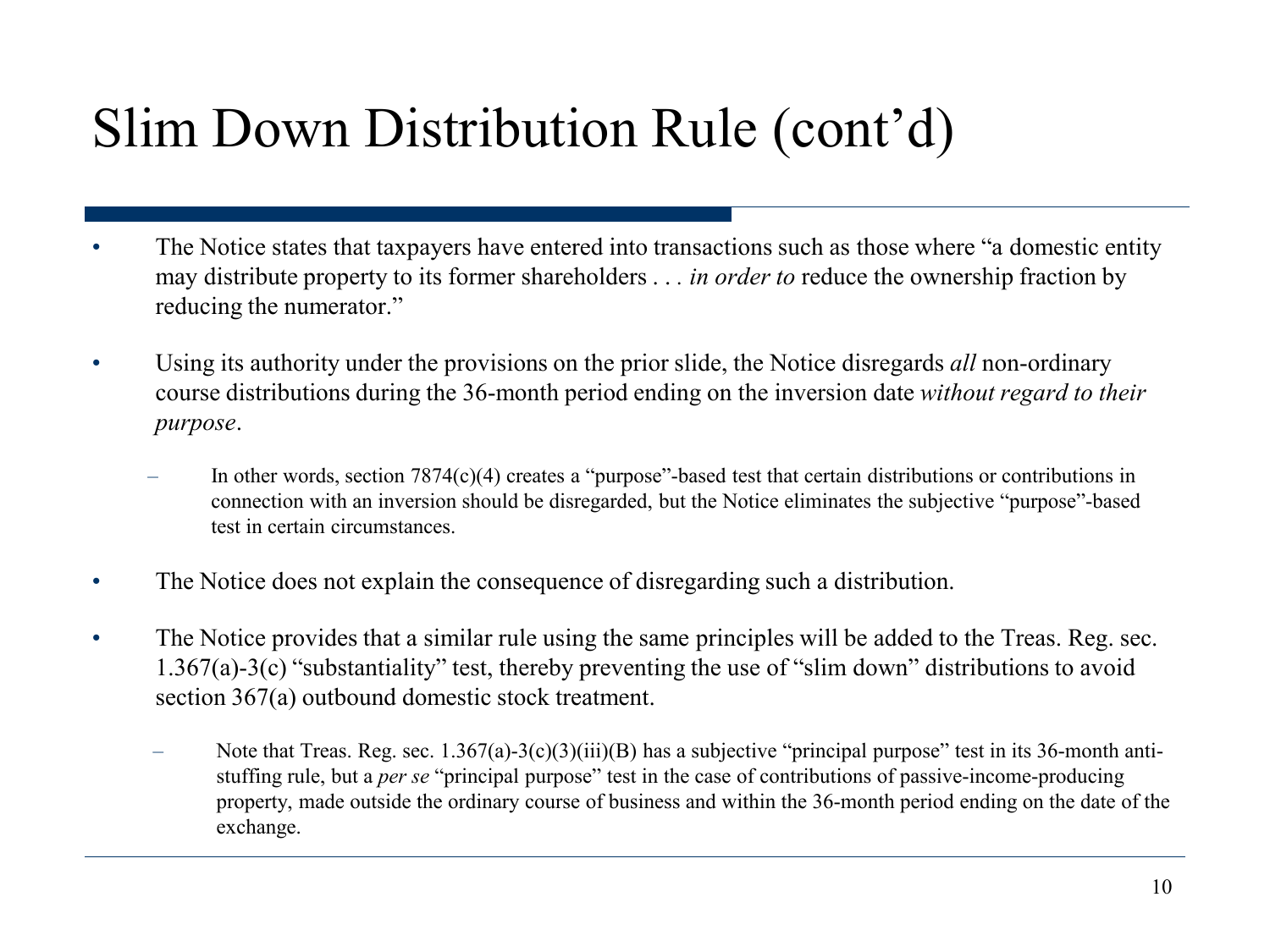#### Slim Down Distribution Rule (cont'd)

- The Notice states that taxpayers have entered into transactions such as those where "a domestic entity" may distribute property to its former shareholders . . *. in order to* reduce the ownership fraction by reducing the numerator."
- Using its authority under the provisions on the prior slide, the Notice disregards *all* non-ordinary course distributions during the 36-month period ending on the inversion date *without regard to their purpose*.
	- In other words, section 7874(c)(4) creates a "purpose"-based test that certain distributions or contributions in connection with an inversion should be disregarded, but the Notice eliminates the subjective "purpose"-based test in certain circumstances.
- The Notice does not explain the consequence of disregarding such a distribution.
- The Notice provides that a similar rule using the same principles will be added to the Treas. Reg. sec. 1.367(a)-3(c) "substantiality" test, thereby preventing the use of "slim down" distributions to avoid section 367(a) outbound domestic stock treatment.
	- Note that Treas. Reg. sec. 1.367(a)-3(c)(3)(iii)(B) has a subjective "principal purpose" test in its 36-month antistuffing rule, but a *per se* "principal purpose" test in the case of contributions of passive-income-producing property, made outside the ordinary course of business and within the 36-month period ending on the date of the exchange.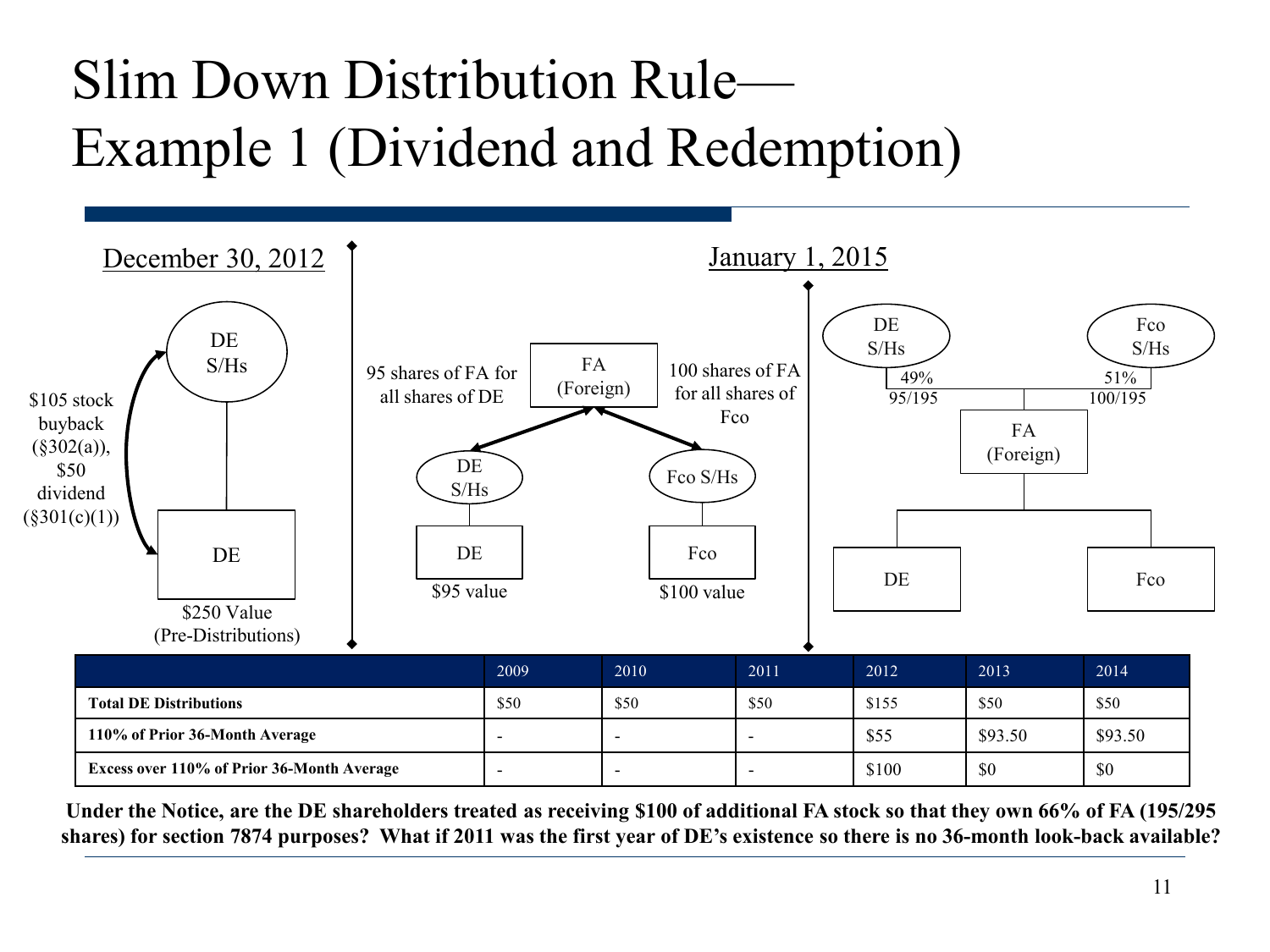## Slim Down Distribution Rule— Example 1 (Dividend and Redemption)



**Under the Notice, are the DE shareholders treated as receiving \$100 of additional FA stock so that they own 66% of FA (195/295 shares) for section 7874 purposes? What if 2011 was the first year of DE's existence so there is no 36-month look-back available?**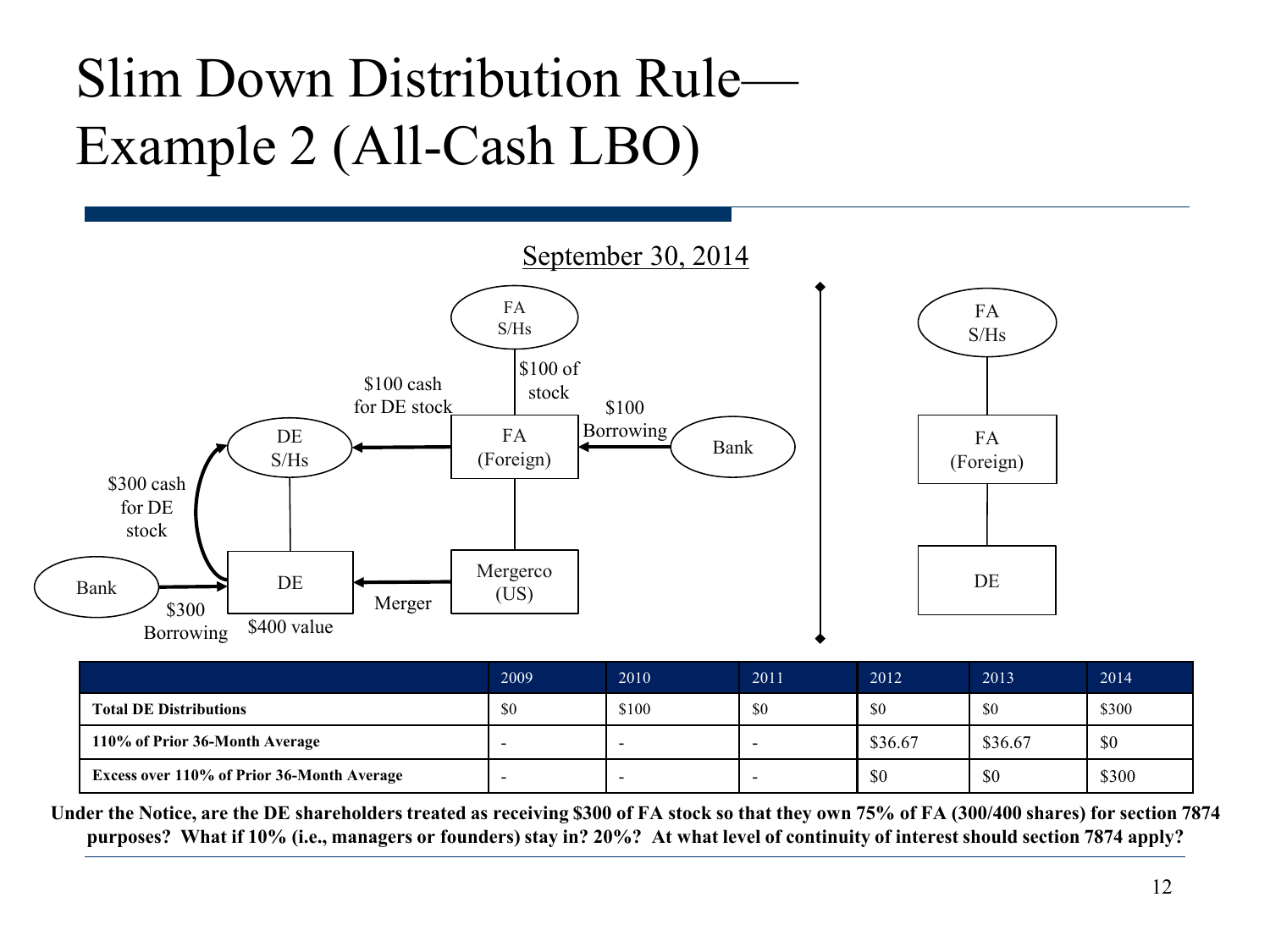## Slim Down Distribution Rule— Example 2 (All-Cash LBO)



|                                            | 2009 | 2010  | 2011 | 2012    | 2013    | 2014  |
|--------------------------------------------|------|-------|------|---------|---------|-------|
| <b>Total DE Distributions</b>              | \$0  | \$100 | \$0  | \$0     | \$0     | \$300 |
| 110% of Prior 36-Month Average             |      |       |      | \$36.67 | \$36.67 | \$0   |
| Excess over 110% of Prior 36-Month Average |      |       |      | \$0     | \$0     | \$300 |

**Under the Notice, are the DE shareholders treated as receiving \$300 of FA stock so that they own 75% of FA (300/400 shares) for section 7874 purposes? What if 10% (i.e., managers or founders) stay in? 20%? At what level of continuity of interest should section 7874 apply?**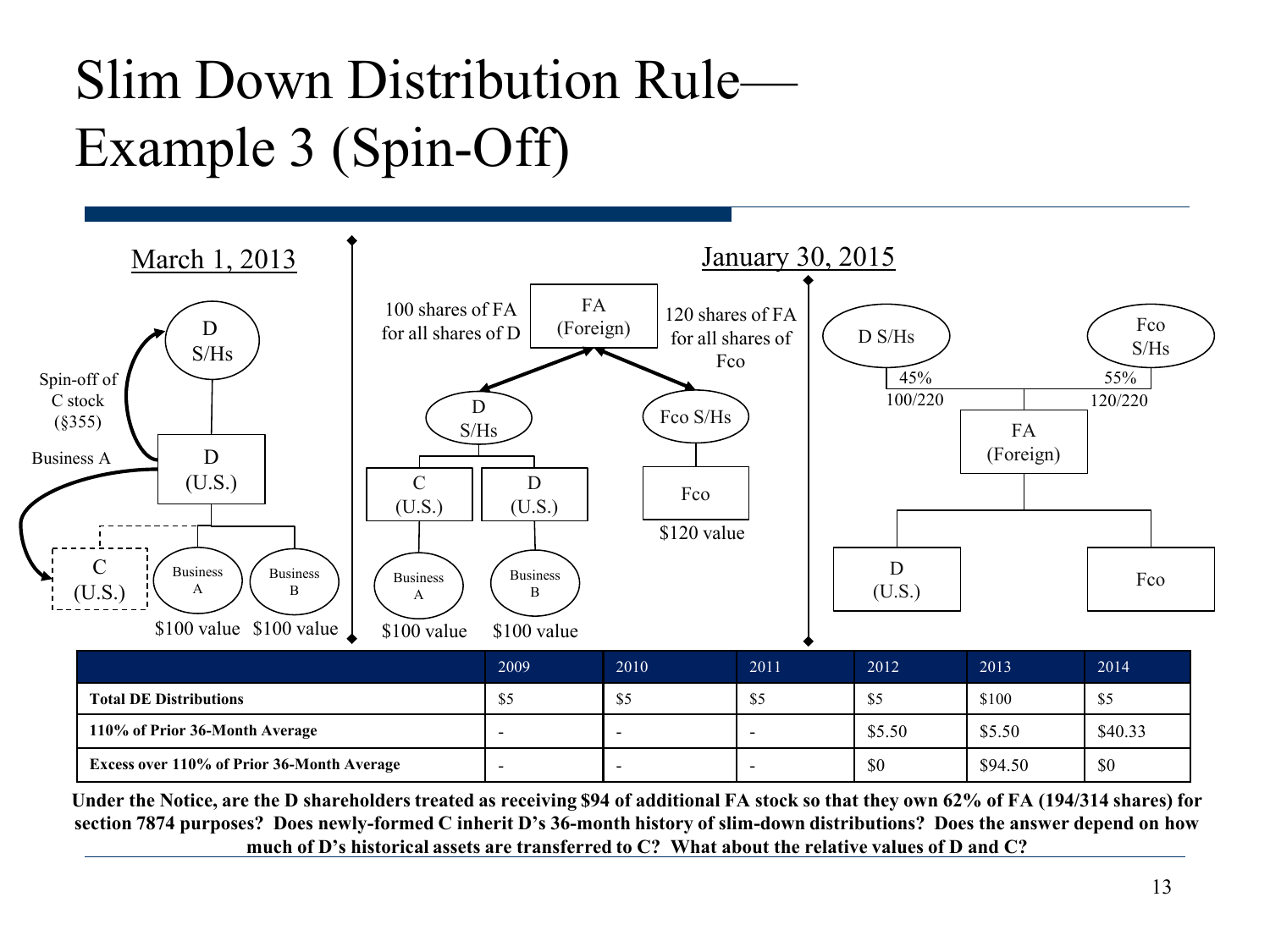## Slim Down Distribution Rule— Example 3 (Spin-Off)



|                                                   | 2009 | 2010 | 2011                     | 2012   | 2013    | 2014    |
|---------------------------------------------------|------|------|--------------------------|--------|---------|---------|
| <b>Total DE Distributions</b>                     | \$5  | ر ق  | აა                       | \$5    | \$100   | \$5     |
| 110% of Prior 36-Month Average                    |      | -    |                          | \$5.50 | \$5.50  | \$40.33 |
| <b>Excess over 110% of Prior 36-Month Average</b> |      | -    | $\overline{\phantom{0}}$ | \$0    | \$94.50 | \$0     |

**Under the Notice, are the D shareholders treated as receiving \$94 of additional FA stock so that they own 62% of FA (194/314 shares) for section 7874 purposes? Does newly-formed C inherit D's 36-month history of slim-down distributions? Does the answer depend on how much of D's historical assets are transferred to C? What about the relative values of D and C?**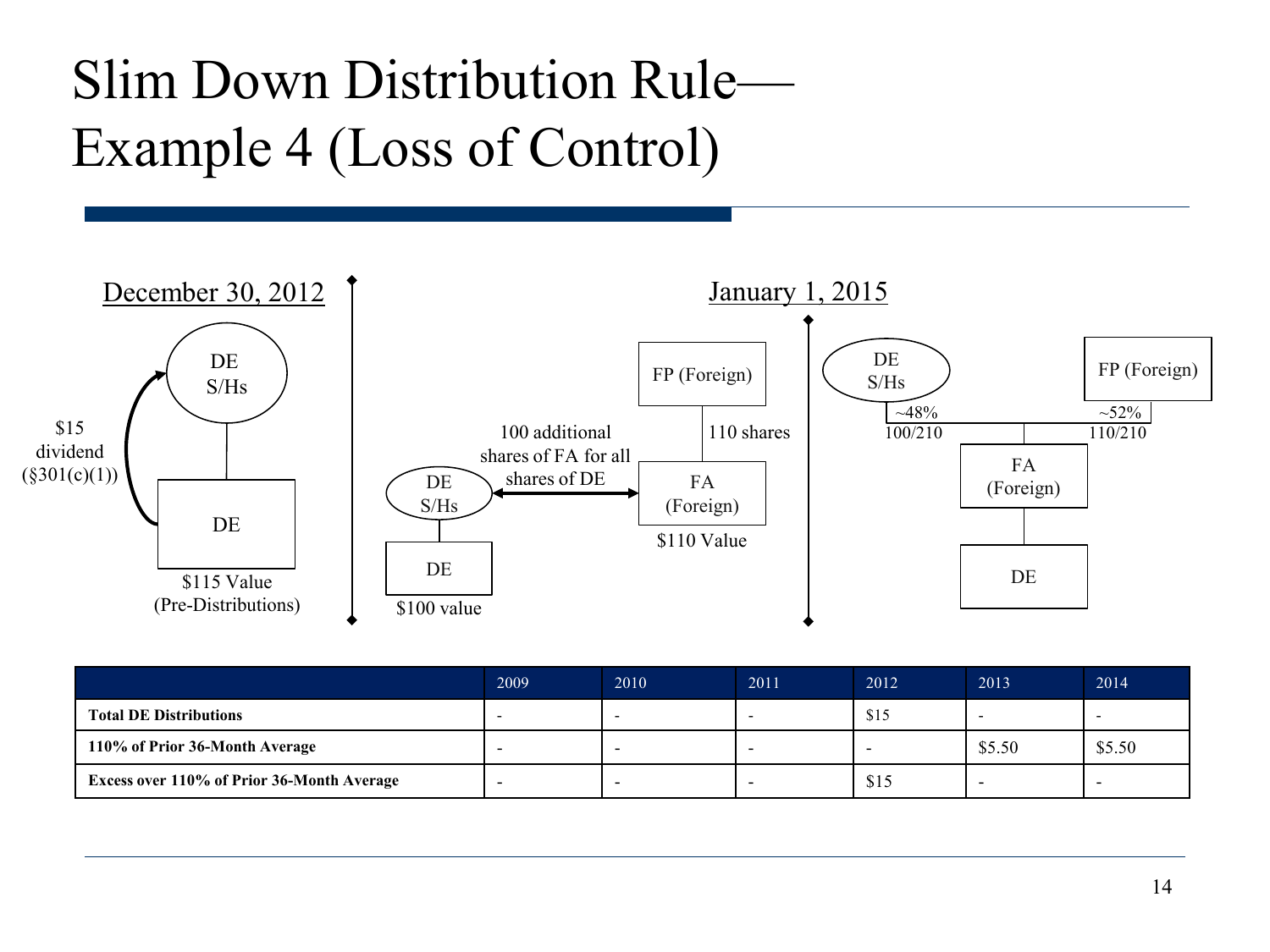#### Slim Down Distribution Rule— Example 4 (Loss of Control)



|                                                   | 2009 | 2010 | 2011 | 2012 | 2013   | 2014   |
|---------------------------------------------------|------|------|------|------|--------|--------|
| <b>Total DE Distributions</b>                     |      |      |      | \$15 |        |        |
| 110% of Prior 36-Month Average                    | -    |      |      | -    | \$5.50 | \$5.50 |
| <b>Excess over 110% of Prior 36-Month Average</b> |      |      |      | \$15 |        |        |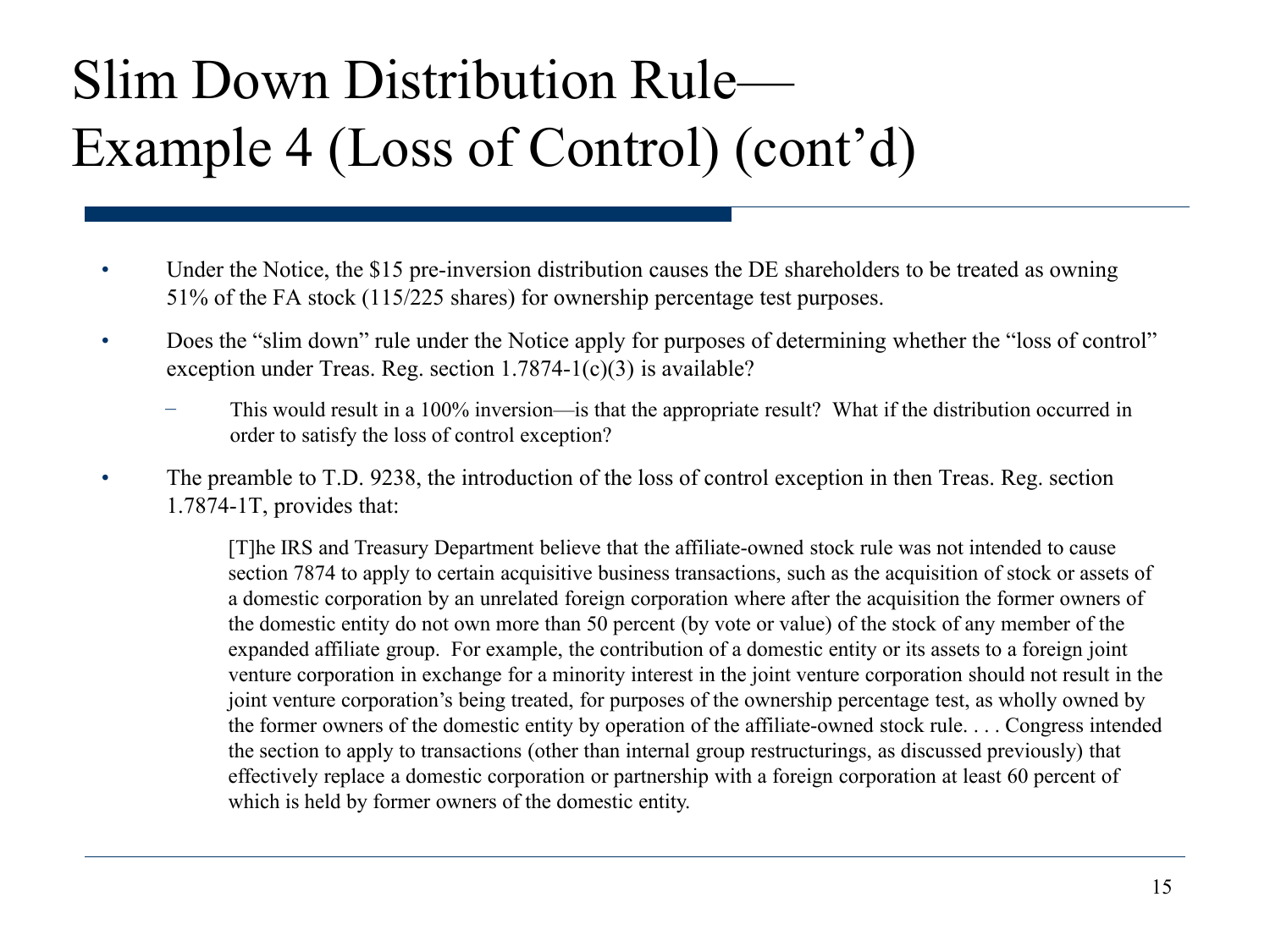### Slim Down Distribution Rule— Example 4 (Loss of Control) (cont'd)

- Under the Notice, the \$15 pre-inversion distribution causes the DE shareholders to be treated as owning 51% of the FA stock (115/225 shares) for ownership percentage test purposes.
- Does the "slim down" rule under the Notice apply for purposes of determining whether the "loss of control" exception under Treas. Reg. section 1.7874-1(c)(3) is available?
	- This would result in a 100% inversion—is that the appropriate result? What if the distribution occurred in order to satisfy the loss of control exception?
- The preamble to T.D. 9238, the introduction of the loss of control exception in then Treas. Reg. section 1.7874-1T, provides that:

[T]he IRS and Treasury Department believe that the affiliate-owned stock rule was not intended to cause section 7874 to apply to certain acquisitive business transactions, such as the acquisition of stock or assets of a domestic corporation by an unrelated foreign corporation where after the acquisition the former owners of the domestic entity do not own more than 50 percent (by vote or value) of the stock of any member of the expanded affiliate group. For example, the contribution of a domestic entity or its assets to a foreign joint venture corporation in exchange for a minority interest in the joint venture corporation should not result in the joint venture corporation's being treated, for purposes of the ownership percentage test, as wholly owned by the former owners of the domestic entity by operation of the affiliate-owned stock rule. . . . Congress intended the section to apply to transactions (other than internal group restructurings, as discussed previously) that effectively replace a domestic corporation or partnership with a foreign corporation at least 60 percent of which is held by former owners of the domestic entity.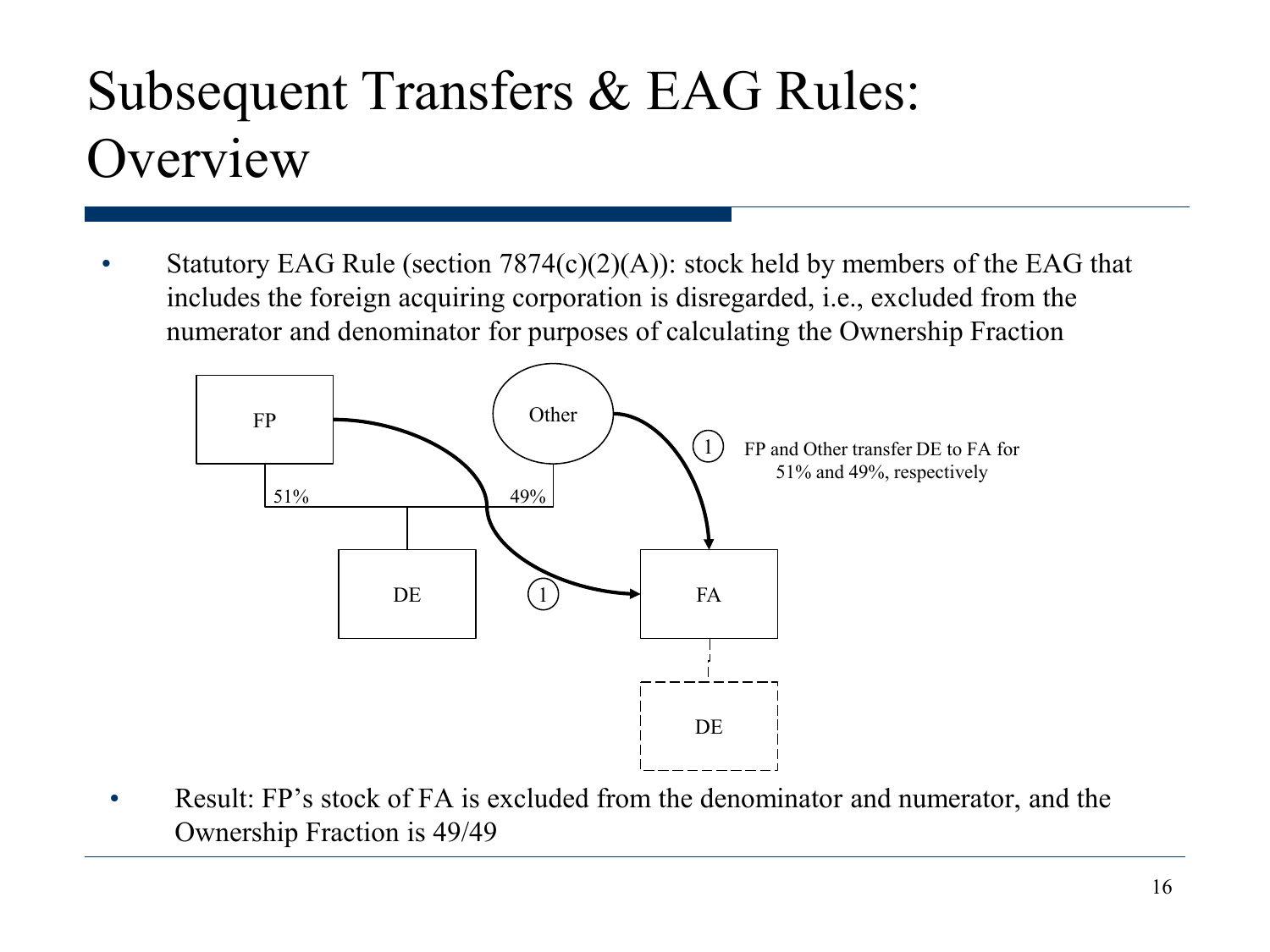#### Subsequent Transfers & EAG Rules: **Overview**

Statutory EAG Rule (section  $7874(c)(2)(A)$ ): stock held by members of the EAG that includes the foreign acquiring corporation is disregarded, i.e., excluded from the numerator and denominator for purposes of calculating the Ownership Fraction



• Result: FP's stock of FA is excluded from the denominator and numerator, and the Ownership Fraction is 49/49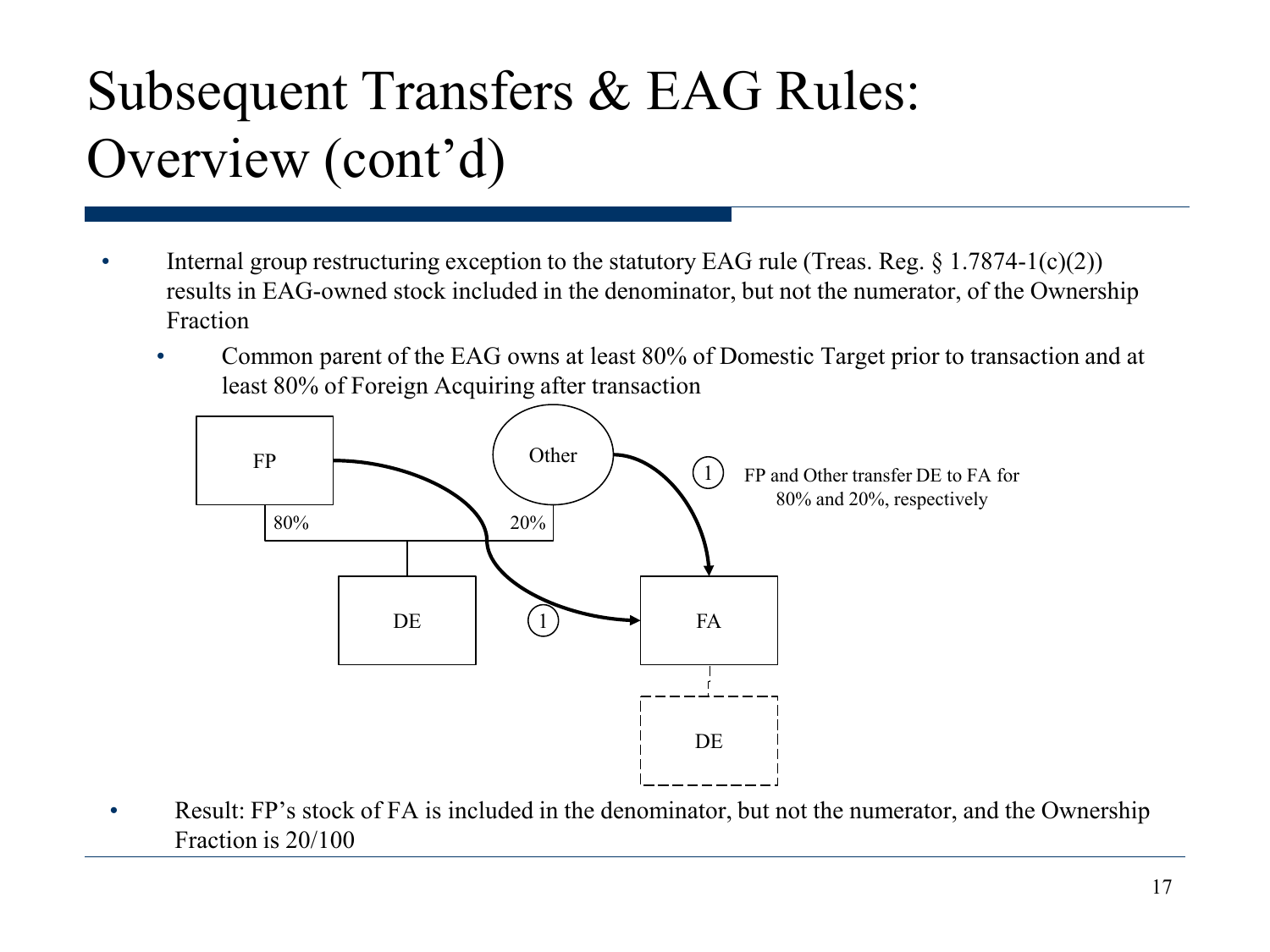#### Subsequent Transfers & EAG Rules: Overview (cont'd)

- Internal group restructuring exception to the statutory EAG rule (Treas. Reg.  $\S 1.7874-1(c)(2)$ ) results in EAG-owned stock included in the denominator, but not the numerator, of the Ownership Fraction
	- Common parent of the EAG owns at least 80% of Domestic Target prior to transaction and at least 80% of Foreign Acquiring after transaction



Result: FP's stock of FA is included in the denominator, but not the numerator, and the Ownership Fraction is 20/100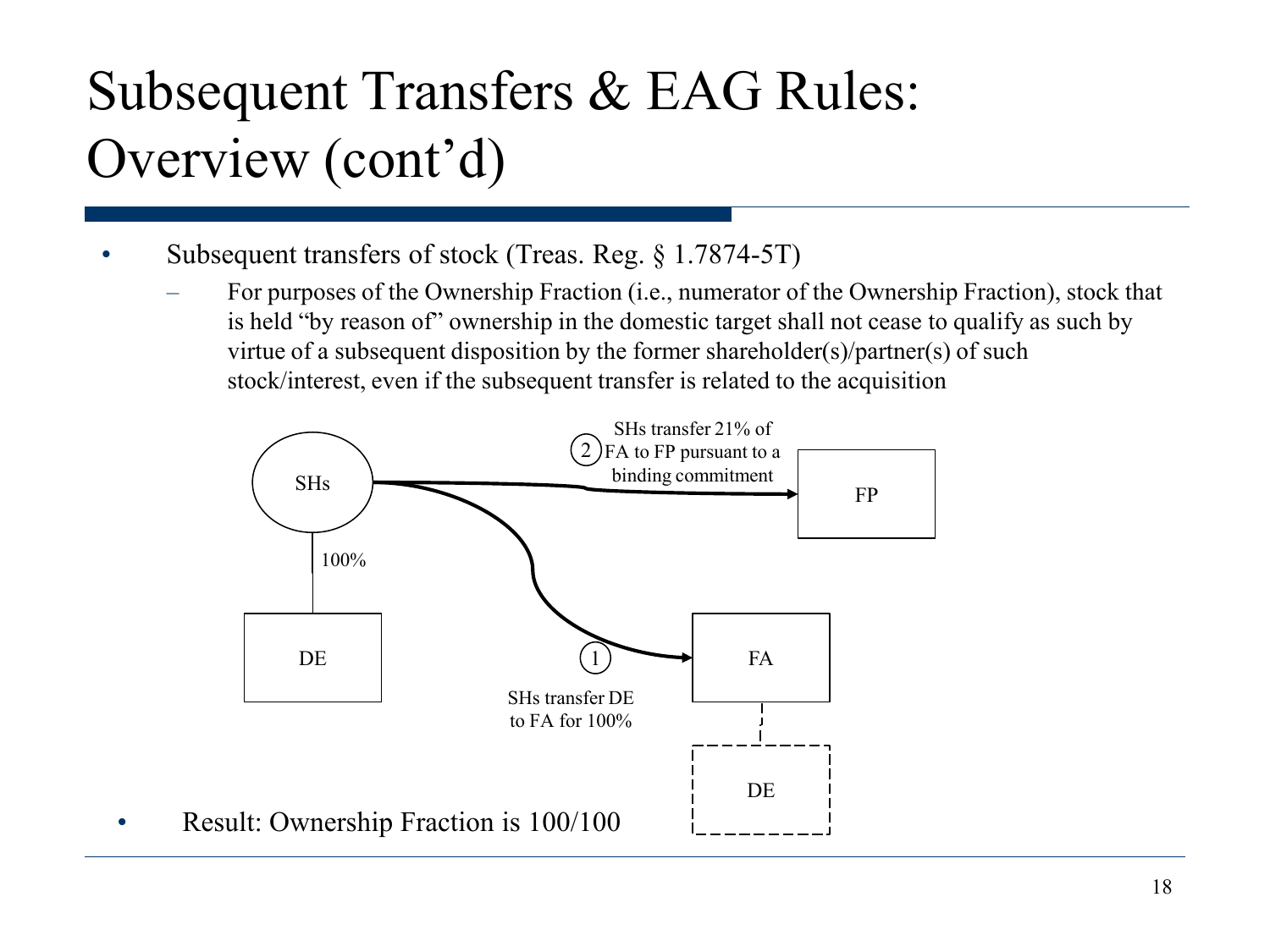#### Subsequent Transfers & EAG Rules: Overview (cont'd)

- Subsequent transfers of stock (Treas. Reg. § 1.7874-5T)
	- For purposes of the Ownership Fraction (i.e., numerator of the Ownership Fraction), stock that is held "by reason of" ownership in the domestic target shall not cease to qualify as such by virtue of a subsequent disposition by the former shareholder(s)/partner(s) of such stock/interest, even if the subsequent transfer is related to the acquisition

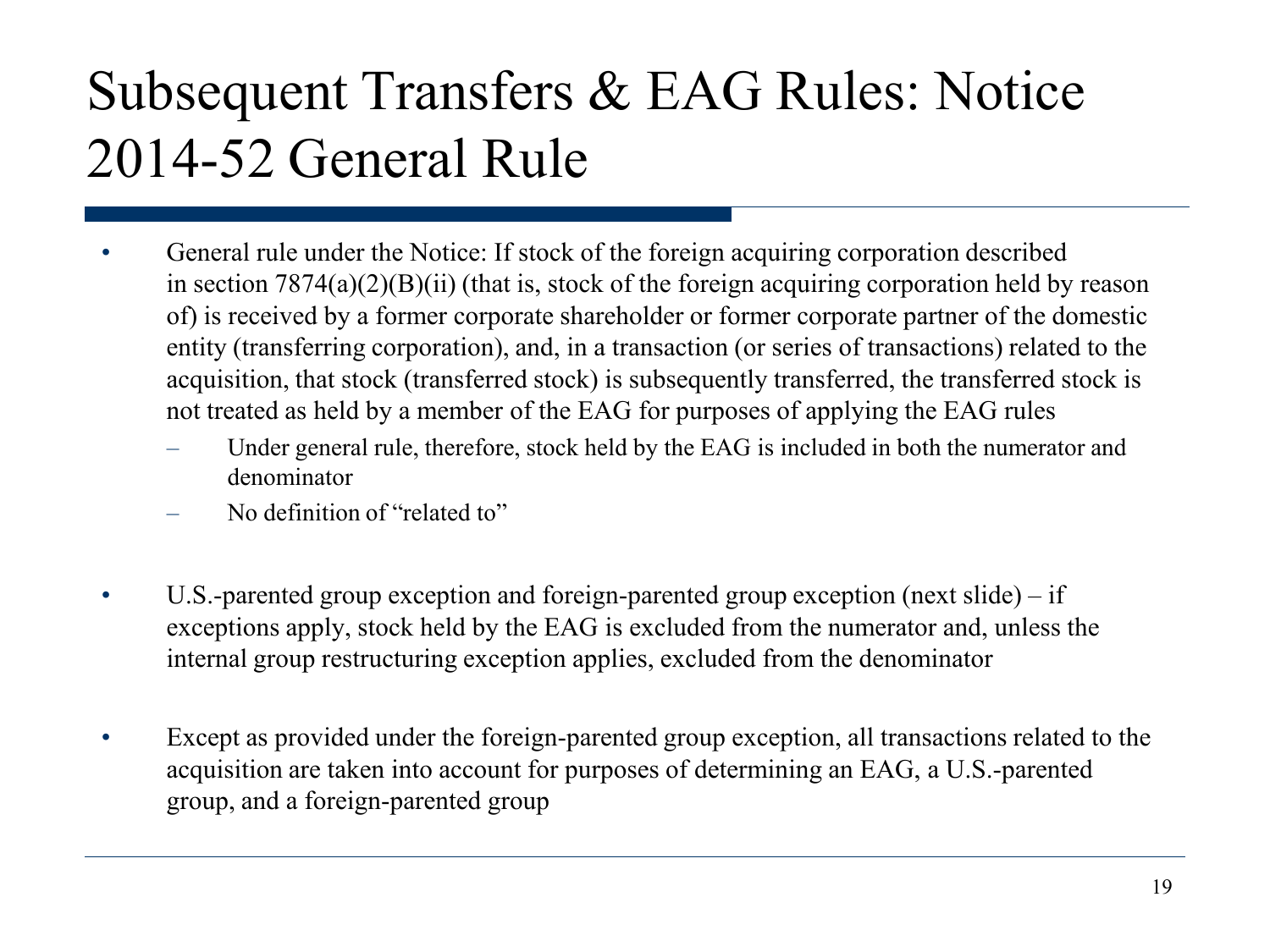#### Subsequent Transfers & EAG Rules: Notice 2014-52 General Rule

- General rule under the Notice: If stock of the foreign acquiring corporation described in section  $7874(a)(2)(B)(ii)$  (that is, stock of the foreign acquiring corporation held by reason of) is received by a former corporate shareholder or former corporate partner of the domestic entity (transferring corporation), and, in a transaction (or series of transactions) related to the acquisition, that stock (transferred stock) is subsequently transferred, the transferred stock is not treated as held by a member of the EAG for purposes of applying the EAG rules
	- Under general rule, therefore, stock held by the EAG is included in both the numerator and denominator
	- No definition of "related to"
- U.S.-parented group exception and foreign-parented group exception (next slide) if exceptions apply, stock held by the EAG is excluded from the numerator and, unless the internal group restructuring exception applies, excluded from the denominator
- Except as provided under the foreign-parented group exception, all transactions related to the acquisition are taken into account for purposes of determining an EAG, a U.S.-parented group, and a foreign-parented group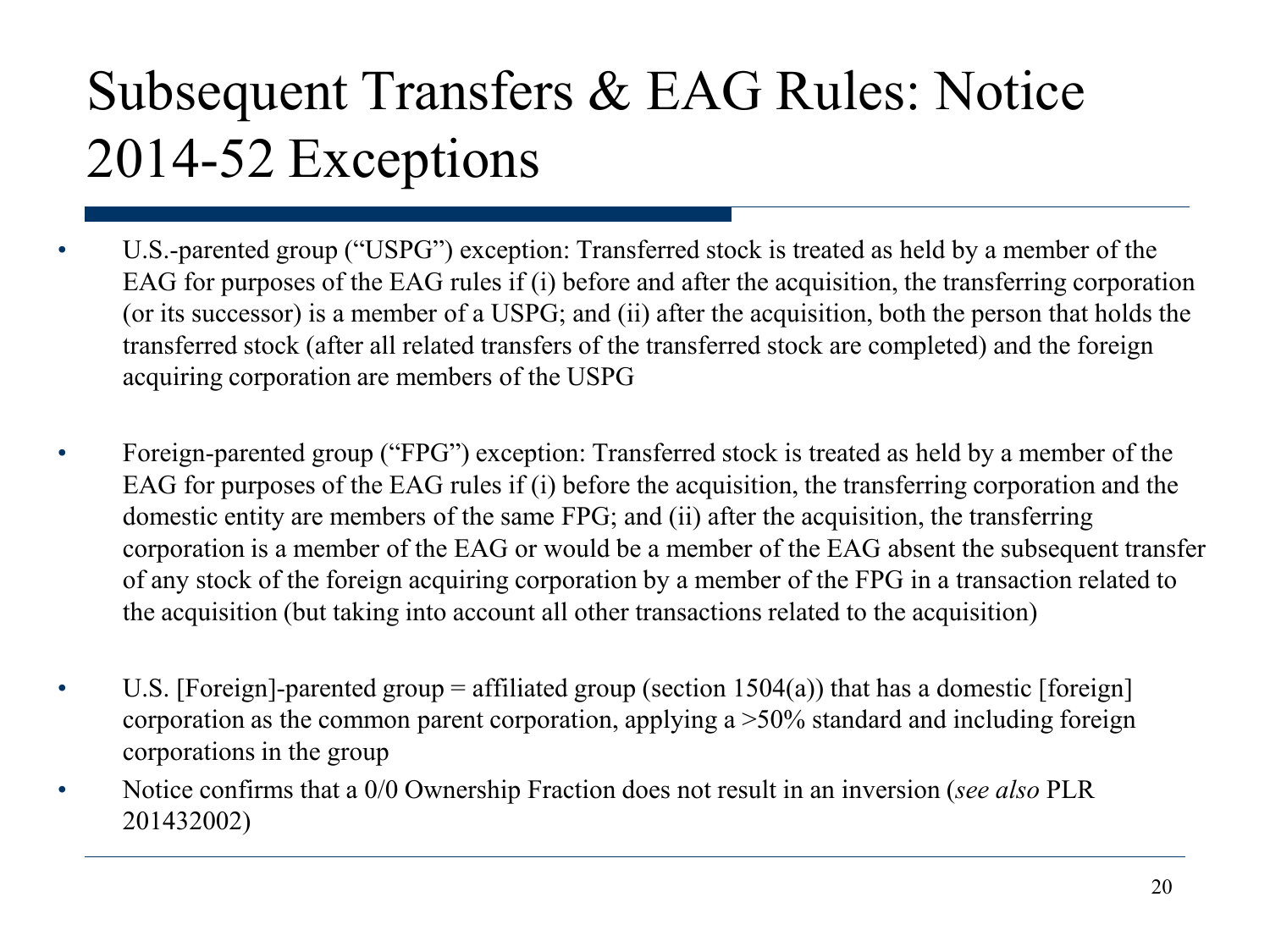### Subsequent Transfers & EAG Rules: Notice 2014-52 Exceptions

- U.S.-parented group ("USPG") exception: Transferred stock is treated as held by a member of the EAG for purposes of the EAG rules if (i) before and after the acquisition, the transferring corporation (or its successor) is a member of a USPG; and (ii) after the acquisition, both the person that holds the transferred stock (after all related transfers of the transferred stock are completed) and the foreign acquiring corporation are members of the USPG
- Foreign-parented group ("FPG") exception: Transferred stock is treated as held by a member of the EAG for purposes of the EAG rules if (i) before the acquisition, the transferring corporation and the domestic entity are members of the same FPG; and (ii) after the acquisition, the transferring corporation is a member of the EAG or would be a member of the EAG absent the subsequent transfer of any stock of the foreign acquiring corporation by a member of the FPG in a transaction related to the acquisition (but taking into account all other transactions related to the acquisition)
- U.S. [Foreign]-parented group = affiliated group (section  $1504(a)$ ) that has a domestic [foreign] corporation as the common parent corporation, applying a >50% standard and including foreign corporations in the group
- Notice confirms that a 0/0 Ownership Fraction does not result in an inversion (*see also* PLR 201432002)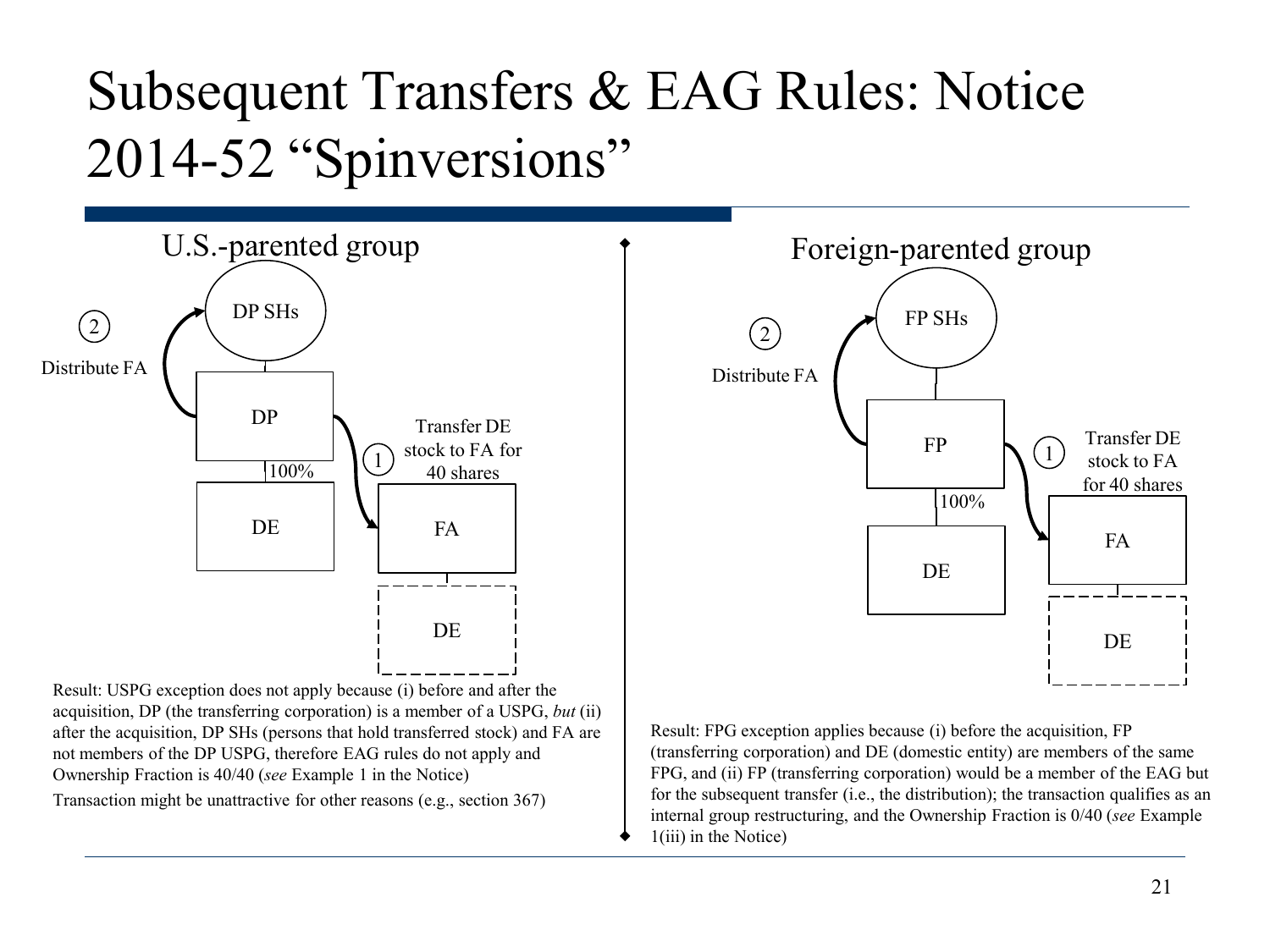#### Subsequent Transfers & EAG Rules: Notice 2014-52 "Spinversions"



Transaction might be unattractive for other reasons (e.g., section 367)



Result: FPG exception applies because (i) before the acquisition, FP (transferring corporation) and DE (domestic entity) are members of the same FPG, and (ii) FP (transferring corporation) would be a member of the EAG but for the subsequent transfer (i.e., the distribution); the transaction qualifies as an internal group restructuring, and the Ownership Fraction is 0/40 (*see* Example 1(iii) in the Notice)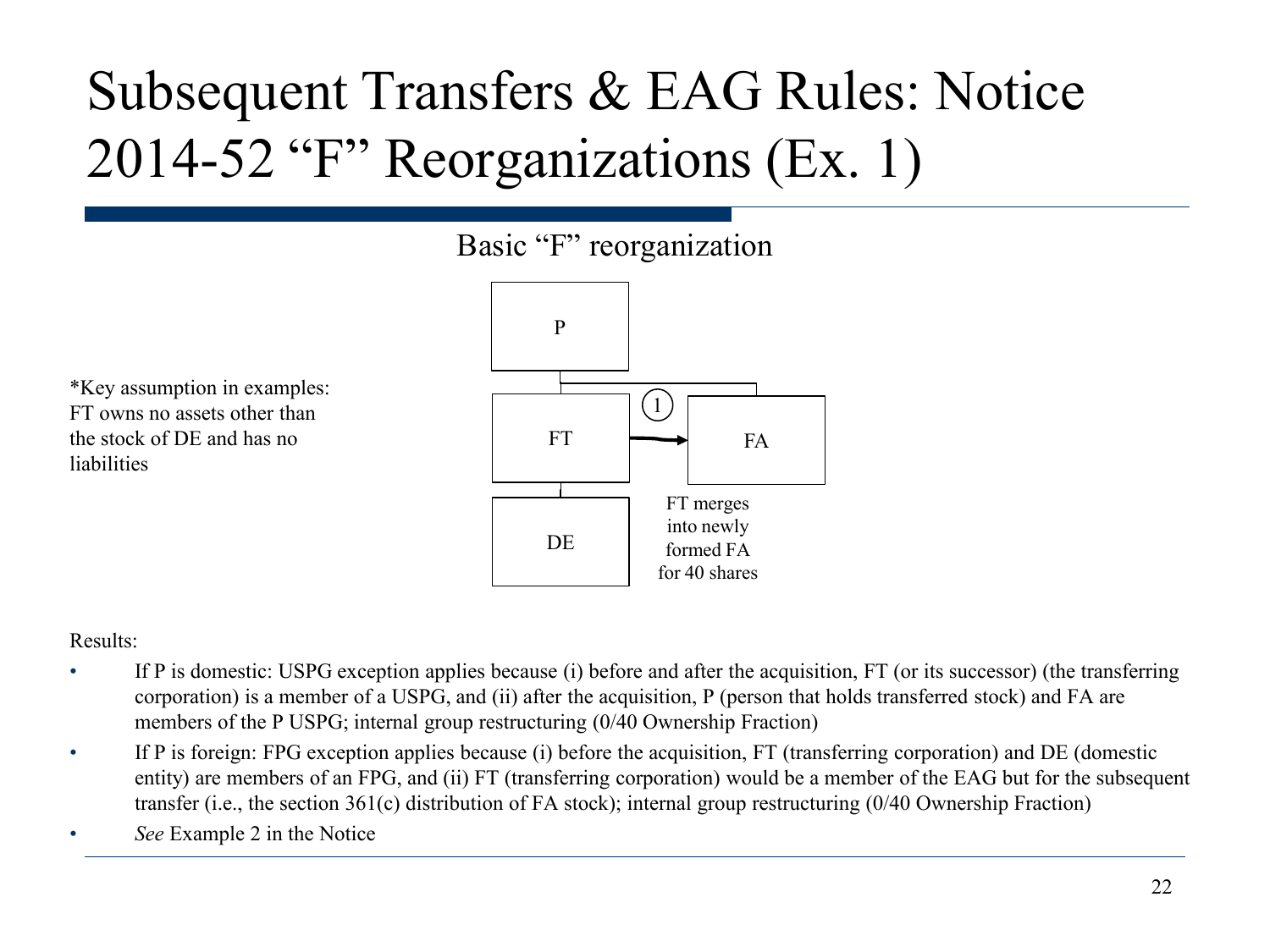#### Subsequent Transfers & EAG Rules: Notice 2014-52 "F" Reorganizations (Ex. 1)

#### Basic "F" reorganization

\*Key assumption in examples: FT owns no assets other than the stock of DE and has no liabilities



Results:

- If P is domestic: USPG exception applies because (i) before and after the acquisition, FT (or its successor) (the transferring corporation) is a member of a USPG, and (ii) after the acquisition, P (person that holds transferred stock) and FA are members of the P USPG; internal group restructuring (0/40 Ownership Fraction)
- If P is foreign: FPG exception applies because (i) before the acquisition, FT (transferring corporation) and DE (domestic entity) are members of an FPG, and (ii) FT (transferring corporation) would be a member of the EAG but for the subsequent transfer (i.e., the section 361(c) distribution of FA stock); internal group restructuring (0/40 Ownership Fraction)
- *See* Example 2 in the Notice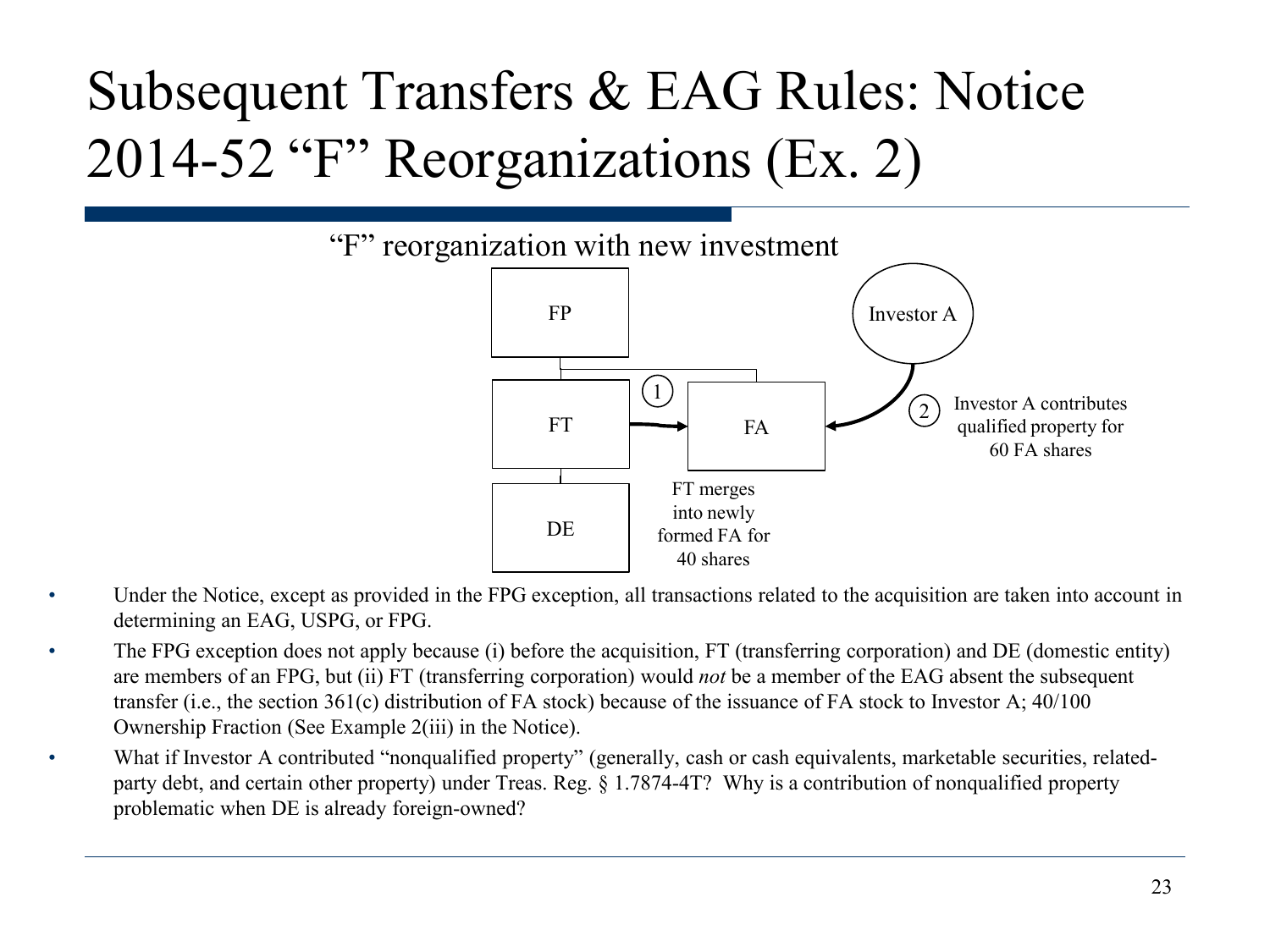#### Subsequent Transfers & EAG Rules: Notice 2014-52 "F" Reorganizations (Ex. 2)



- Under the Notice, except as provided in the FPG exception, all transactions related to the acquisition are taken into account in determining an EAG, USPG, or FPG.
- The FPG exception does not apply because (i) before the acquisition, FT (transferring corporation) and DE (domestic entity) are members of an FPG, but (ii) FT (transferring corporation) would *not* be a member of the EAG absent the subsequent transfer (i.e., the section 361(c) distribution of FA stock) because of the issuance of FA stock to Investor A; 40/100 Ownership Fraction (See Example 2(iii) in the Notice).
- What if Investor A contributed "nonqualified property" (generally, cash or cash equivalents, marketable securities, relatedparty debt, and certain other property) under Treas. Reg. § 1.7874-4T? Why is a contribution of nonqualified property problematic when DE is already foreign-owned?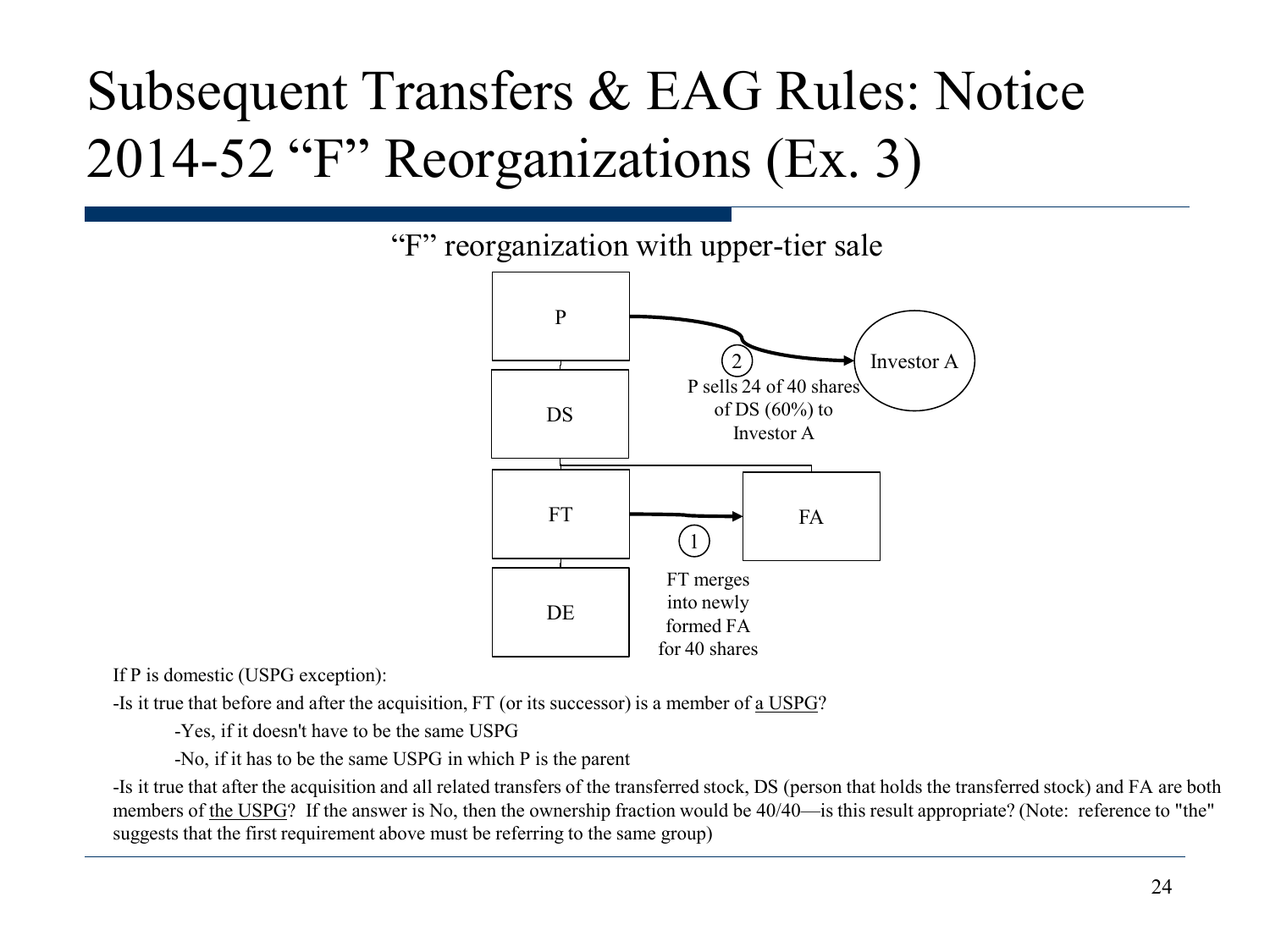#### Subsequent Transfers & EAG Rules: Notice 2014-52 "F" Reorganizations (Ex. 3)



If P is domestic (USPG exception):

-Is it true that before and after the acquisition, FT (or its successor) is a member of a USPG?

-Yes, if it doesn't have to be the same USPG

-No, if it has to be the same USPG in which P is the parent

-Is it true that after the acquisition and all related transfers of the transferred stock, DS (person that holds the transferred stock) and FA are both members of the USPG? If the answer is No, then the ownership fraction would be 40/40—is this result appropriate? (Note: reference to "the" suggests that the first requirement above must be referring to the same group)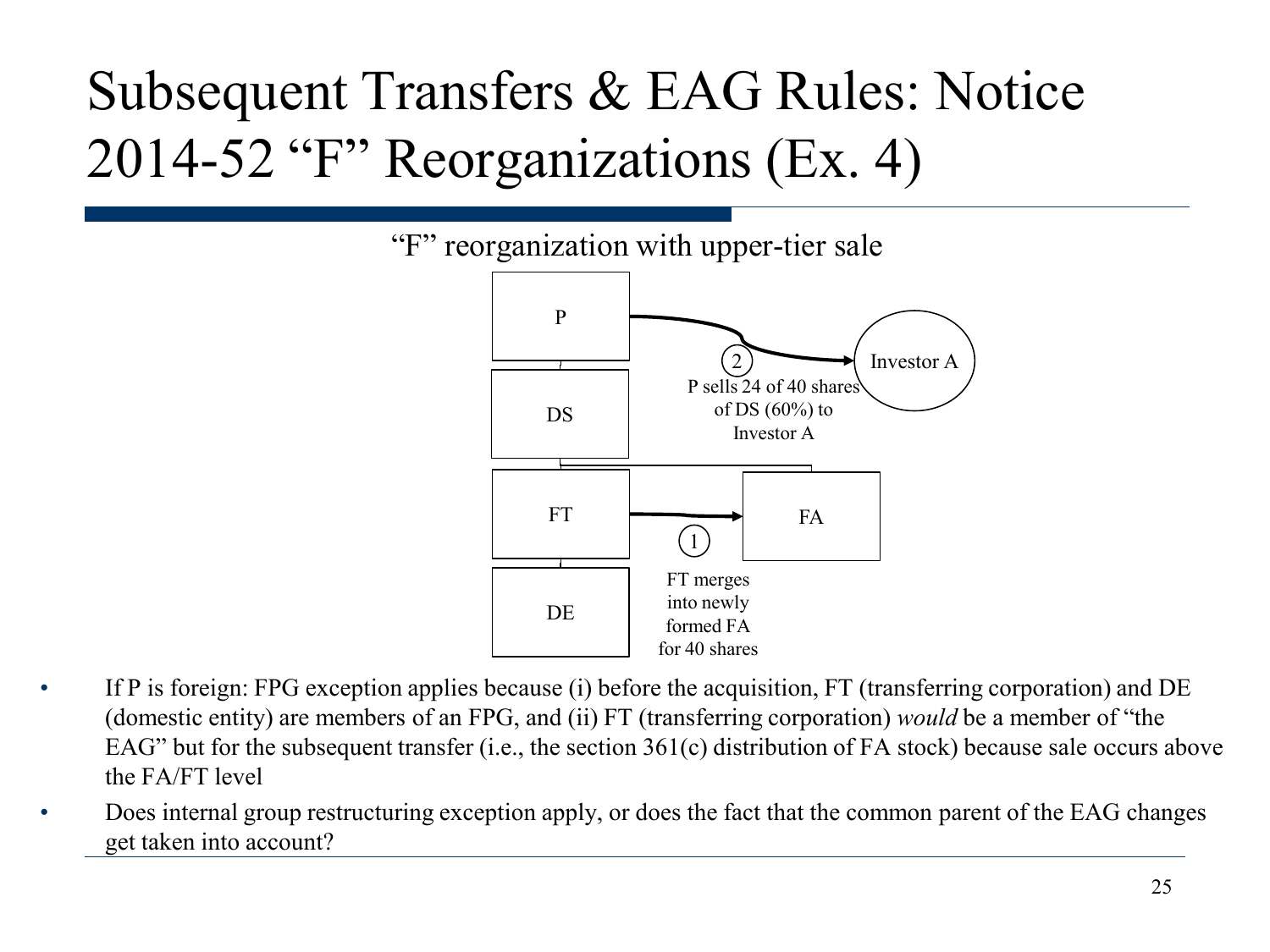#### Subsequent Transfers & EAG Rules: Notice 2014-52 "F" Reorganizations (Ex. 4)



- If P is foreign: FPG exception applies because (i) before the acquisition, FT (transferring corporation) and DE (domestic entity) are members of an FPG, and (ii) FT (transferring corporation) *would* be a member of "the EAG" but for the subsequent transfer (i.e., the section 361(c) distribution of FA stock) because sale occurs above the FA/FT level
- Does internal group restructuring exception apply, or does the fact that the common parent of the EAG changes get taken into account?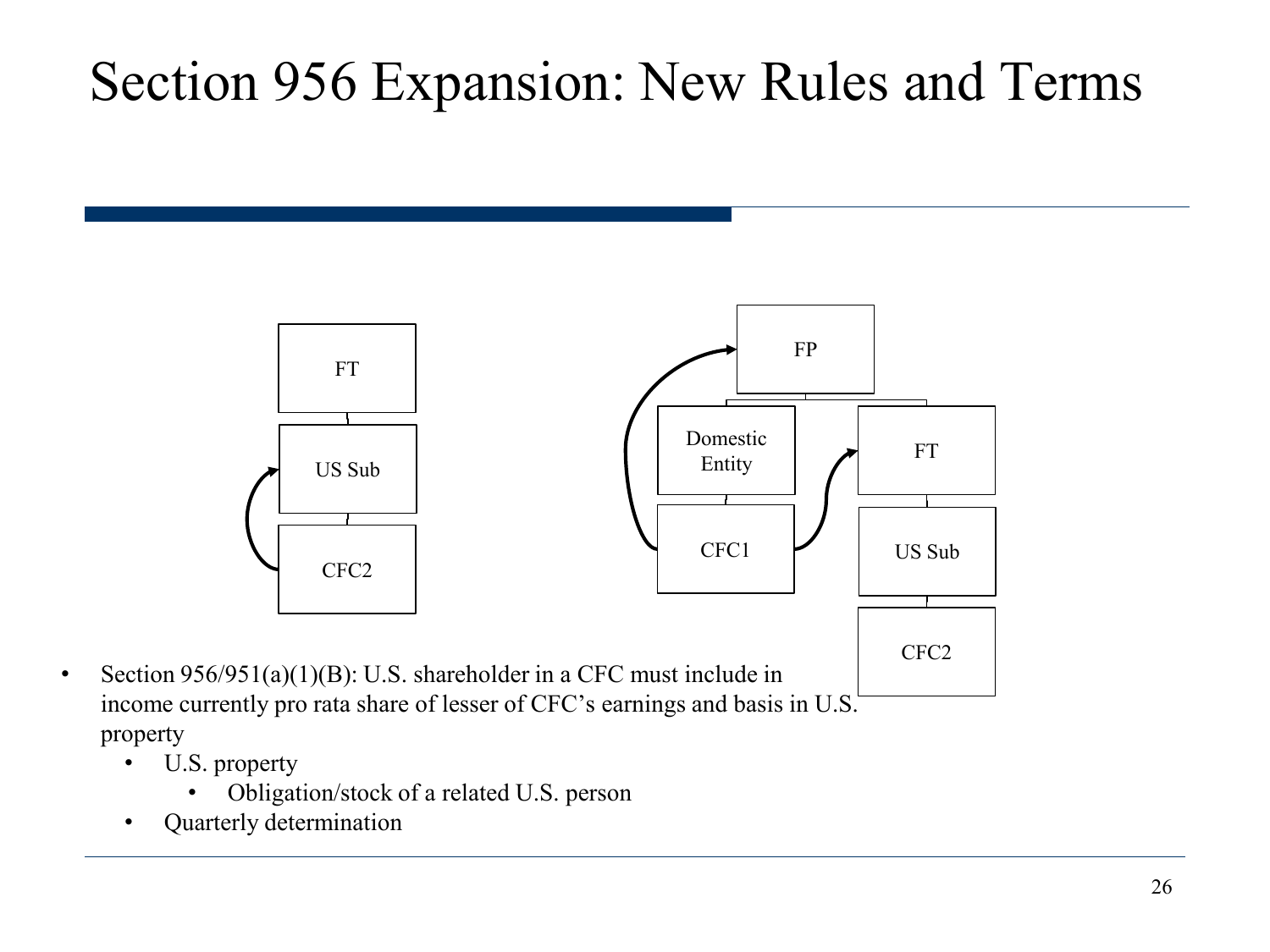

- U.S. property
	- Obligation/stock of a related U.S. person
- Quarterly determination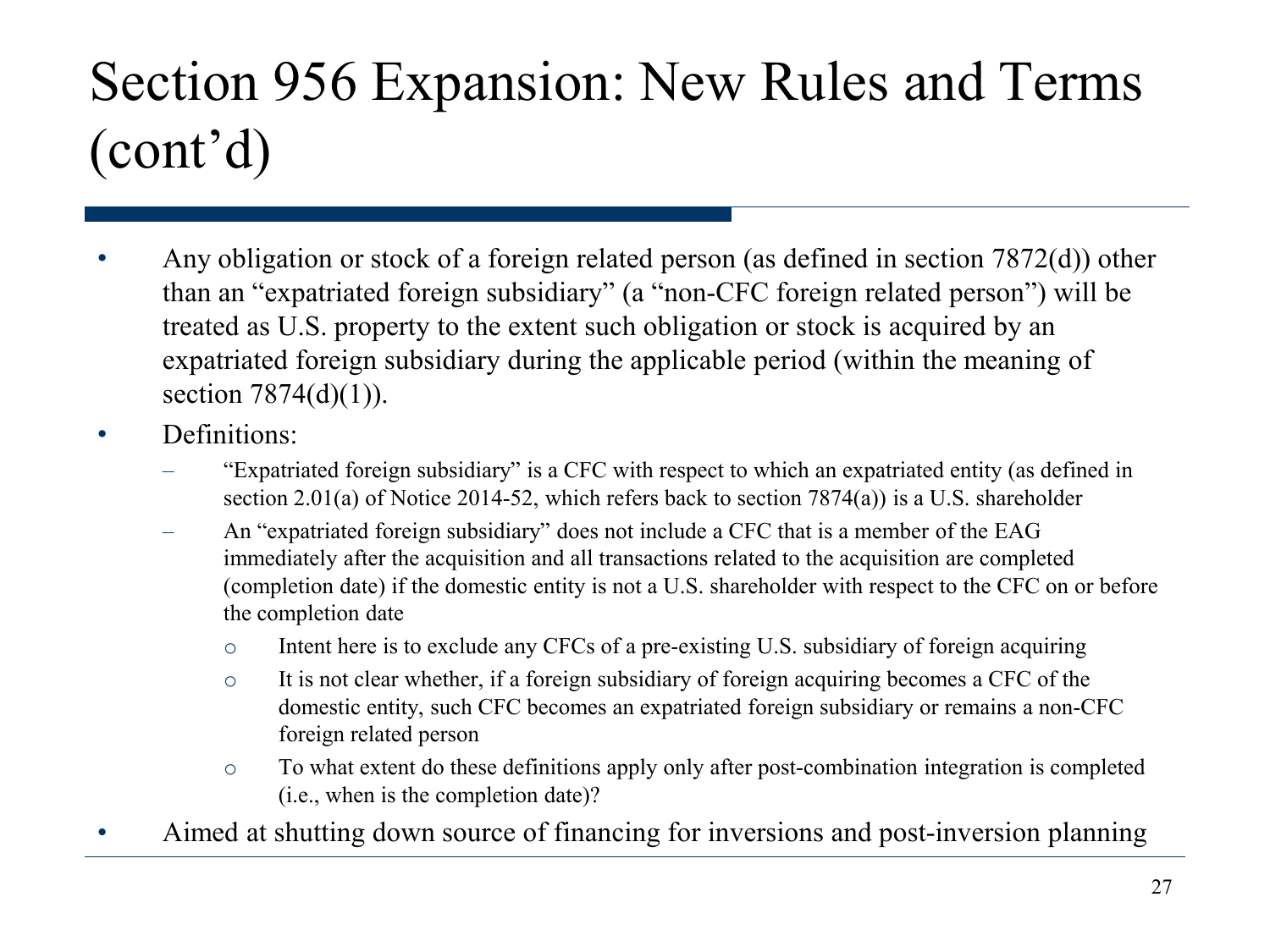- Any obligation or stock of a foreign related person (as defined in section 7872(d)) other than an "expatriated foreign subsidiary" (a "non-CFC foreign related person") will be treated as U.S. property to the extent such obligation or stock is acquired by an expatriated foreign subsidiary during the applicable period (within the meaning of section  $7874(d)(1)$ ).
- **Definitions:** 
	- "Expatriated foreign subsidiary" is a CFC with respect to which an expatriated entity (as defined in section 2.01(a) of Notice 2014-52, which refers back to section 7874(a)) is a U.S. shareholder
	- An "expatriated foreign subsidiary" does not include a CFC that is a member of the EAG immediately after the acquisition and all transactions related to the acquisition are completed (completion date) if the domestic entity is not a U.S. shareholder with respect to the CFC on or before the completion date
		- $\circ$  Intent here is to exclude any CFCs of a pre-existing U.S. subsidiary of foreign acquiring
		- o It is not clear whether, if a foreign subsidiary of foreign acquiring becomes a CFC of the domestic entity, such CFC becomes an expatriated foreign subsidiary or remains a non-CFC foreign related person
		- o To what extent do these definitions apply only after post-combination integration is completed (i.e., when is the completion date)?
- Aimed at shutting down source of financing for inversions and post-inversion planning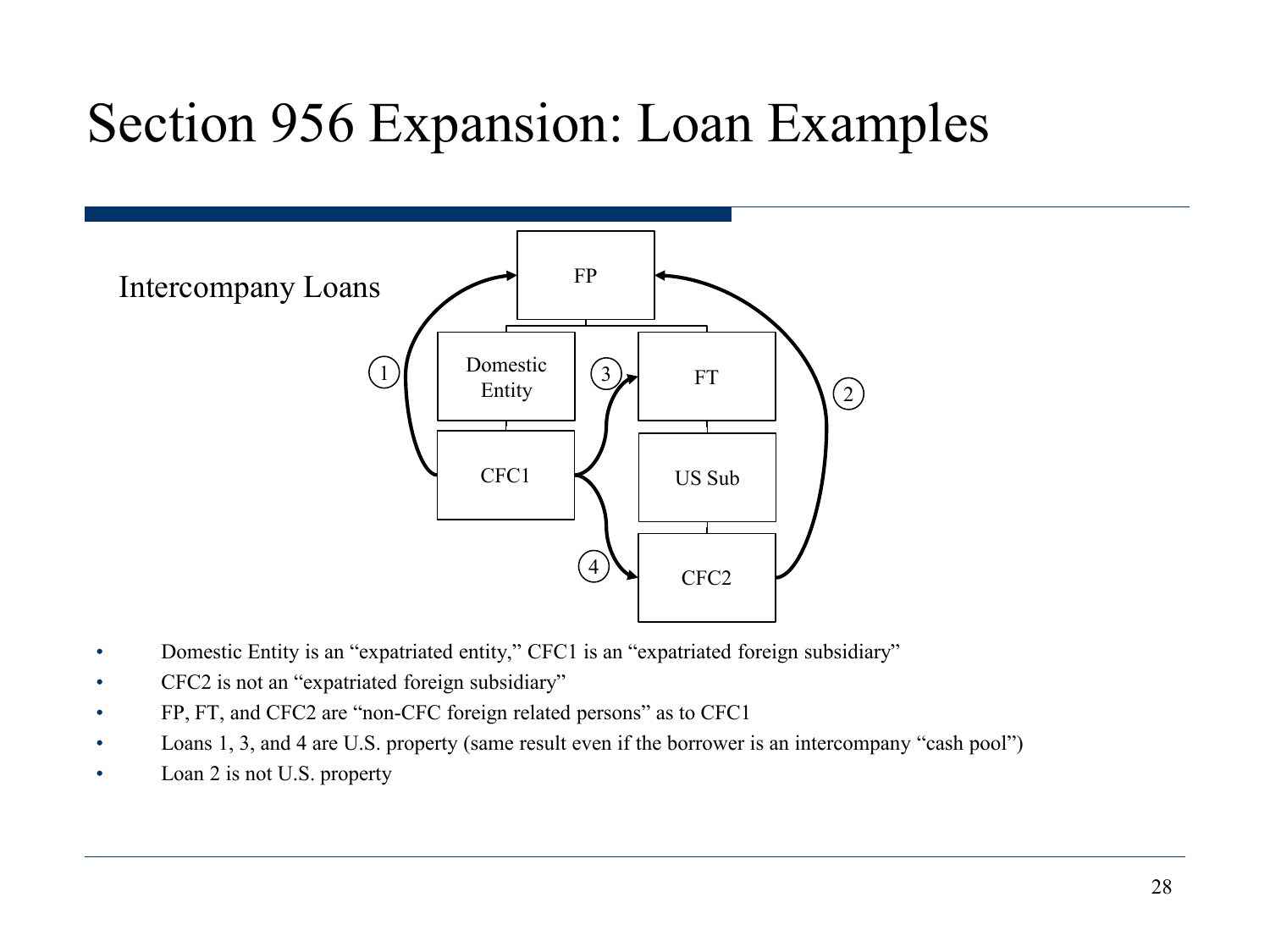#### Section 956 Expansion: Loan Examples



- Domestic Entity is an "expatriated entity," CFC1 is an "expatriated foreign subsidiary"
- CFC2 is not an "expatriated foreign subsidiary"
- FP, FT, and CFC2 are "non-CFC foreign related persons" as to CFC1
- Loans 1, 3, and 4 are U.S. property (same result even if the borrower is an intercompany "cash pool")
- Loan 2 is not U.S. property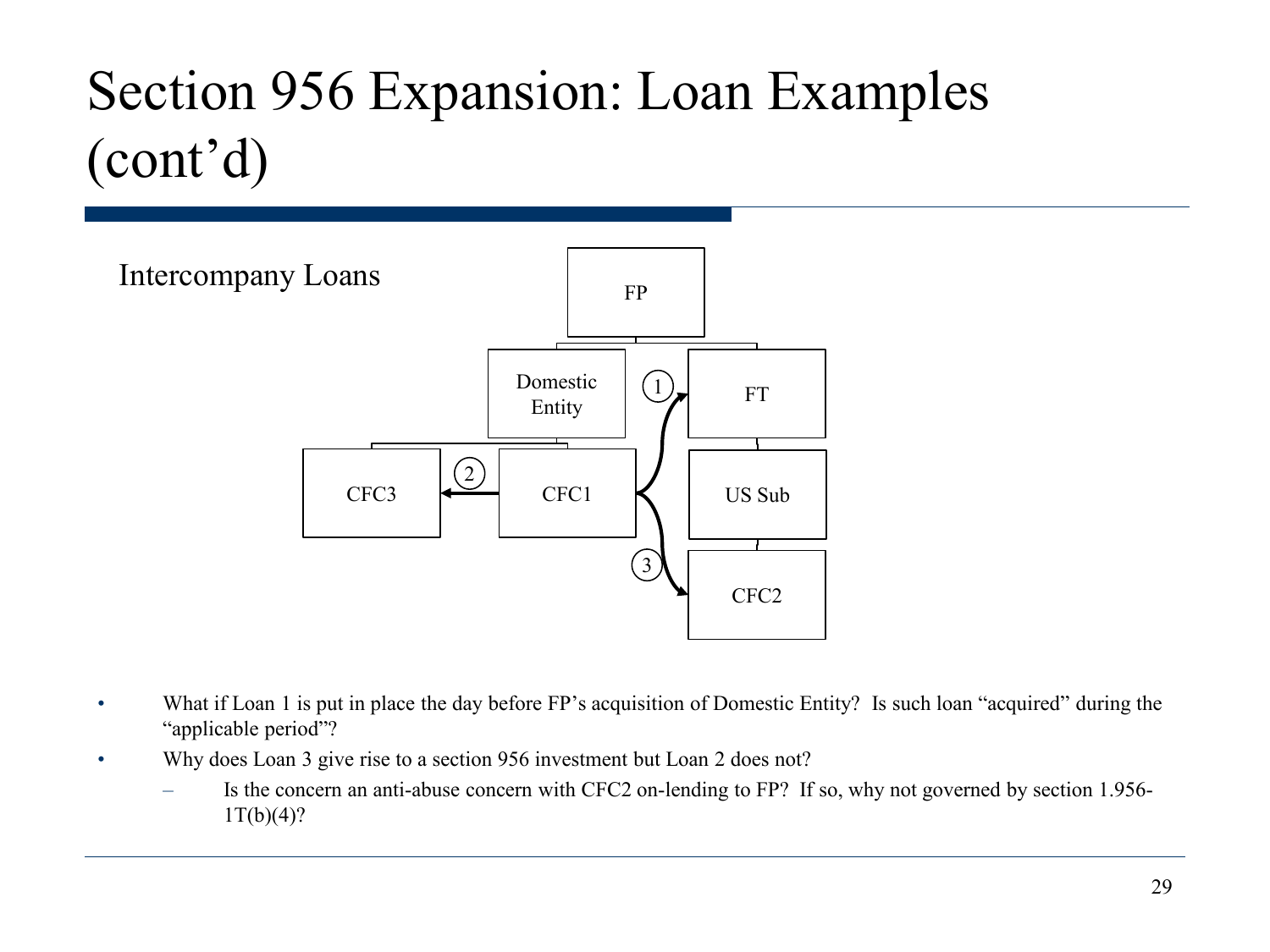## Section 956 Expansion: Loan Examples (cont'd)



- What if Loan 1 is put in place the day before FP's acquisition of Domestic Entity? Is such loan "acquired" during the "applicable period"?
- Why does Loan 3 give rise to a section 956 investment but Loan 2 does not?
	- Is the concern an anti-abuse concern with CFC2 on-lending to FP? If so, why not governed by section 1.956-  $1T(b)(4)?$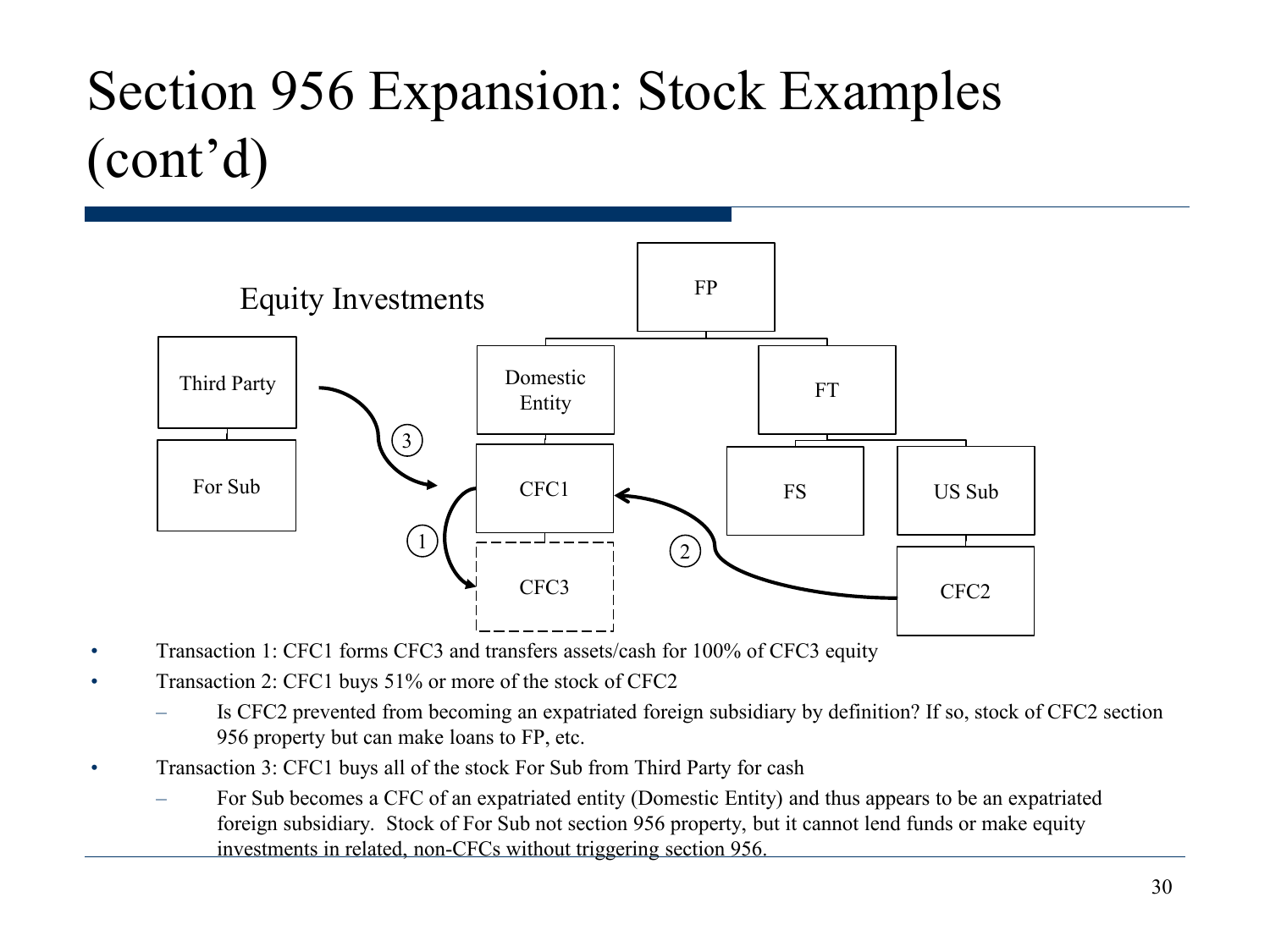### Section 956 Expansion: Stock Examples (cont'd)



- Transaction 1: CFC1 forms CFC3 and transfers assets/cash for 100% of CFC3 equity
- Transaction 2: CFC1 buys 51% or more of the stock of CFC2
	- Is CFC2 prevented from becoming an expatriated foreign subsidiary by definition? If so, stock of CFC2 section 956 property but can make loans to FP, etc.
- Transaction 3: CFC1 buys all of the stock For Sub from Third Party for cash
	- For Sub becomes a CFC of an expatriated entity (Domestic Entity) and thus appears to be an expatriated foreign subsidiary. Stock of For Sub not section 956 property, but it cannot lend funds or make equity investments in related, non-CFCs without triggering section 956.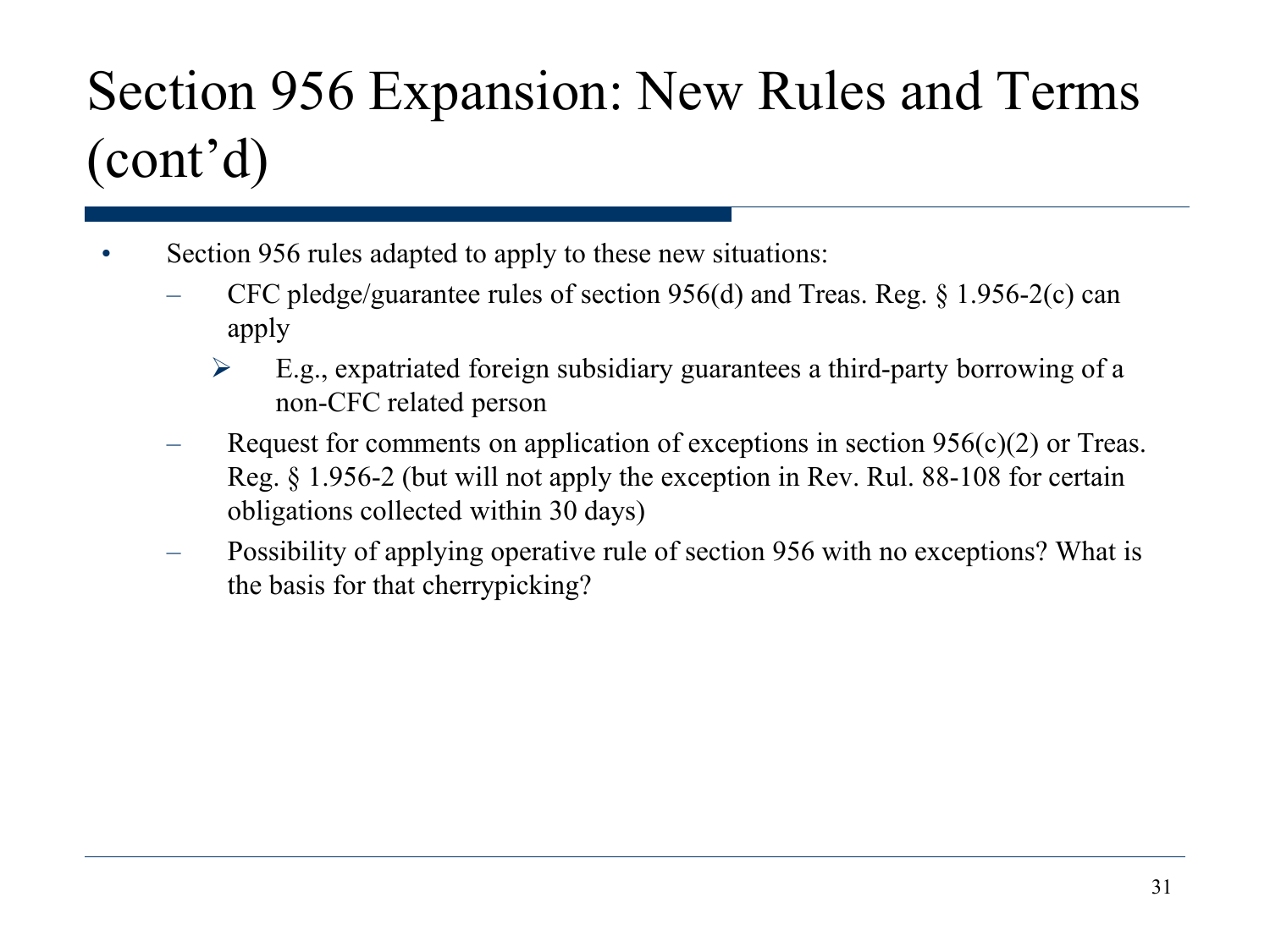- Section 956 rules adapted to apply to these new situations:
	- CFC pledge/guarantee rules of section 956(d) and Treas. Reg. § 1.956-2(c) can apply
		- $\triangleright$  E.g., expatriated foreign subsidiary guarantees a third-party borrowing of a non-CFC related person
	- Request for comments on application of exceptions in section  $956(c)(2)$  or Treas. Reg. § 1.956-2 (but will not apply the exception in Rev. Rul. 88-108 for certain obligations collected within 30 days)
	- Possibility of applying operative rule of section 956 with no exceptions? What is the basis for that cherrypicking?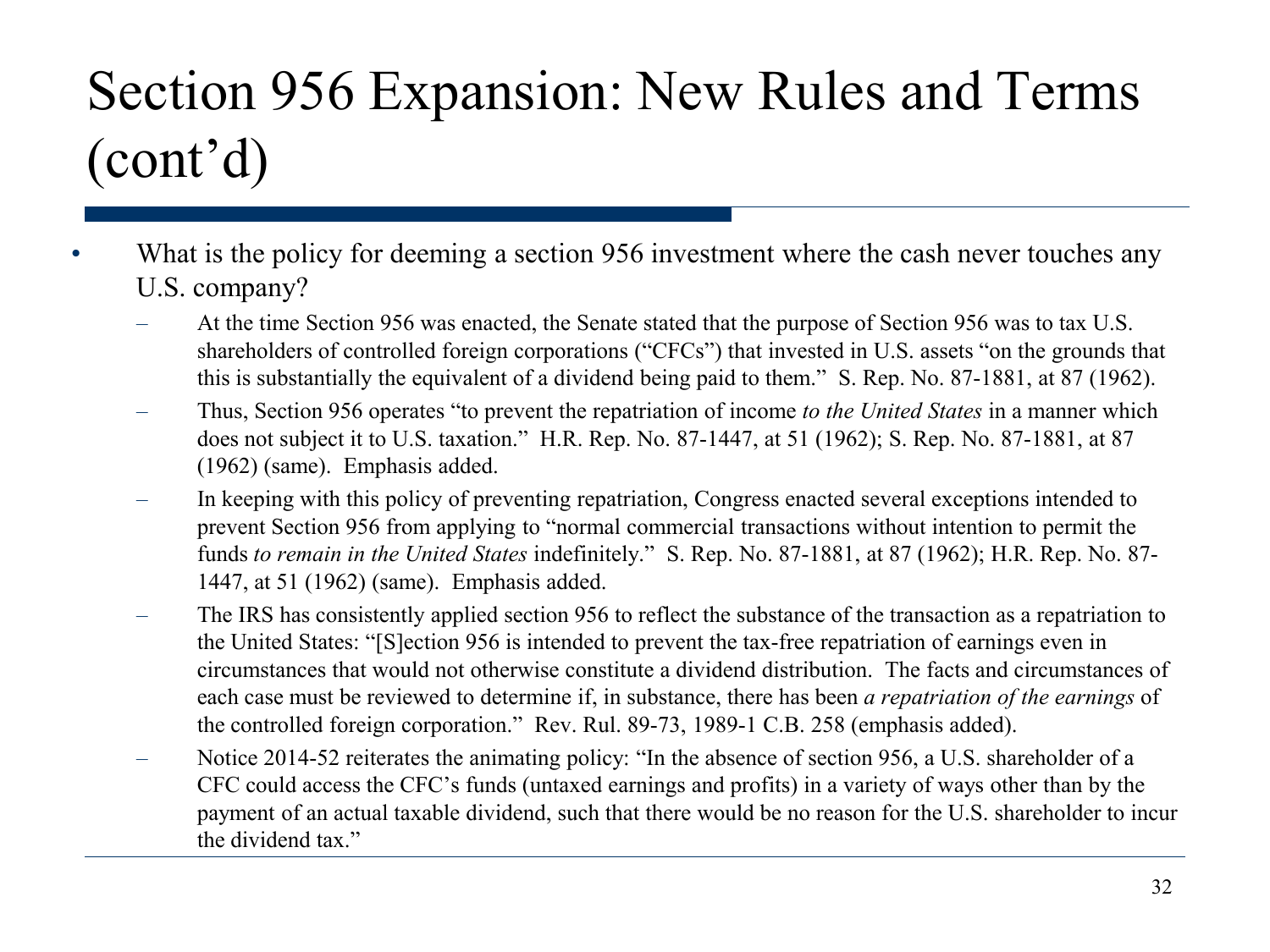- What is the policy for deeming a section 956 investment where the cash never touches any U.S. company?
	- At the time Section 956 was enacted, the Senate stated that the purpose of Section 956 was to tax U.S. shareholders of controlled foreign corporations ("CFCs") that invested in U.S. assets "on the grounds that this is substantially the equivalent of a dividend being paid to them." S. Rep. No. 87-1881, at 87 (1962).
	- Thus, Section 956 operates "to prevent the repatriation of income *to the United States* in a manner which does not subject it to U.S. taxation." H.R. Rep. No. 87-1447, at 51 (1962); S. Rep. No. 87-1881, at 87 (1962) (same). Emphasis added.
	- In keeping with this policy of preventing repatriation, Congress enacted several exceptions intended to prevent Section 956 from applying to "normal commercial transactions without intention to permit the funds *to remain in the United States* indefinitely." S. Rep. No. 87-1881, at 87 (1962); H.R. Rep. No. 87- 1447, at 51 (1962) (same). Emphasis added.
	- The IRS has consistently applied section 956 to reflect the substance of the transaction as a repatriation to the United States: "[S]ection 956 is intended to prevent the tax-free repatriation of earnings even in circumstances that would not otherwise constitute a dividend distribution. The facts and circumstances of each case must be reviewed to determine if, in substance, there has been *a repatriation of the earnings* of the controlled foreign corporation." Rev. Rul. 89-73, 1989-1 C.B. 258 (emphasis added).
	- Notice 2014-52 reiterates the animating policy: "In the absence of section 956, a U.S. shareholder of a CFC could access the CFC's funds (untaxed earnings and profits) in a variety of ways other than by the payment of an actual taxable dividend, such that there would be no reason for the U.S. shareholder to incur the dividend tax."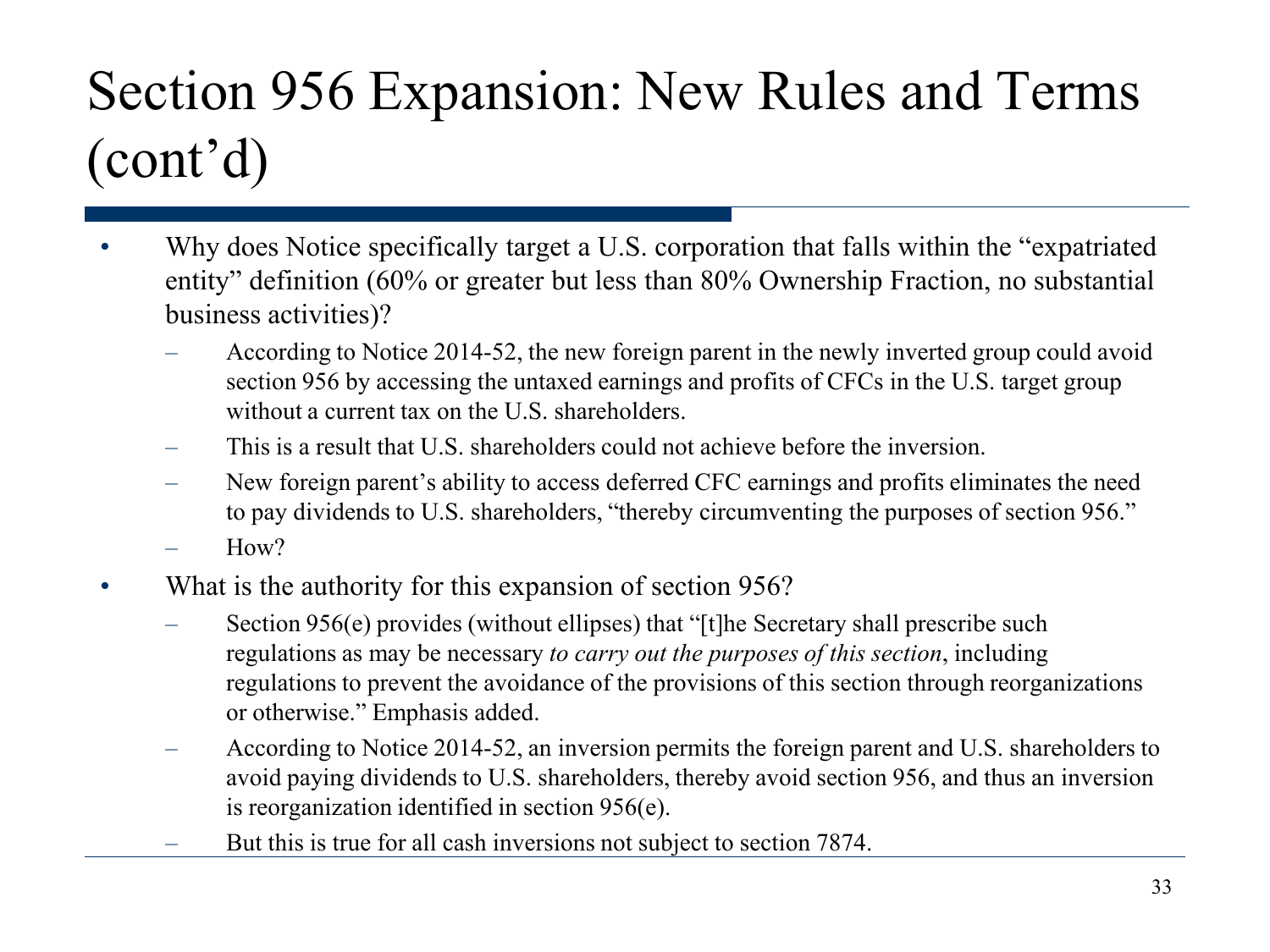- Why does Notice specifically target a U.S. corporation that falls within the "expatriated" entity" definition (60% or greater but less than 80% Ownership Fraction, no substantial business activities)?
	- According to Notice 2014-52, the new foreign parent in the newly inverted group could avoid section 956 by accessing the untaxed earnings and profits of CFCs in the U.S. target group without a current tax on the U.S. shareholders.
	- This is a result that U.S. shareholders could not achieve before the inversion.
	- New foreign parent's ability to access deferred CFC earnings and profits eliminates the need to pay dividends to U.S. shareholders, "thereby circumventing the purposes of section 956."
	- $How?$
- What is the authority for this expansion of section 956?
	- Section 956(e) provides (without ellipses) that "[t]he Secretary shall prescribe such regulations as may be necessary *to carry out the purposes of this section*, including regulations to prevent the avoidance of the provisions of this section through reorganizations or otherwise." Emphasis added.
	- According to Notice 2014-52, an inversion permits the foreign parent and U.S. shareholders to avoid paying dividends to U.S. shareholders, thereby avoid section 956, and thus an inversion is reorganization identified in section 956(e).
	- But this is true for all cash inversions not subject to section 7874.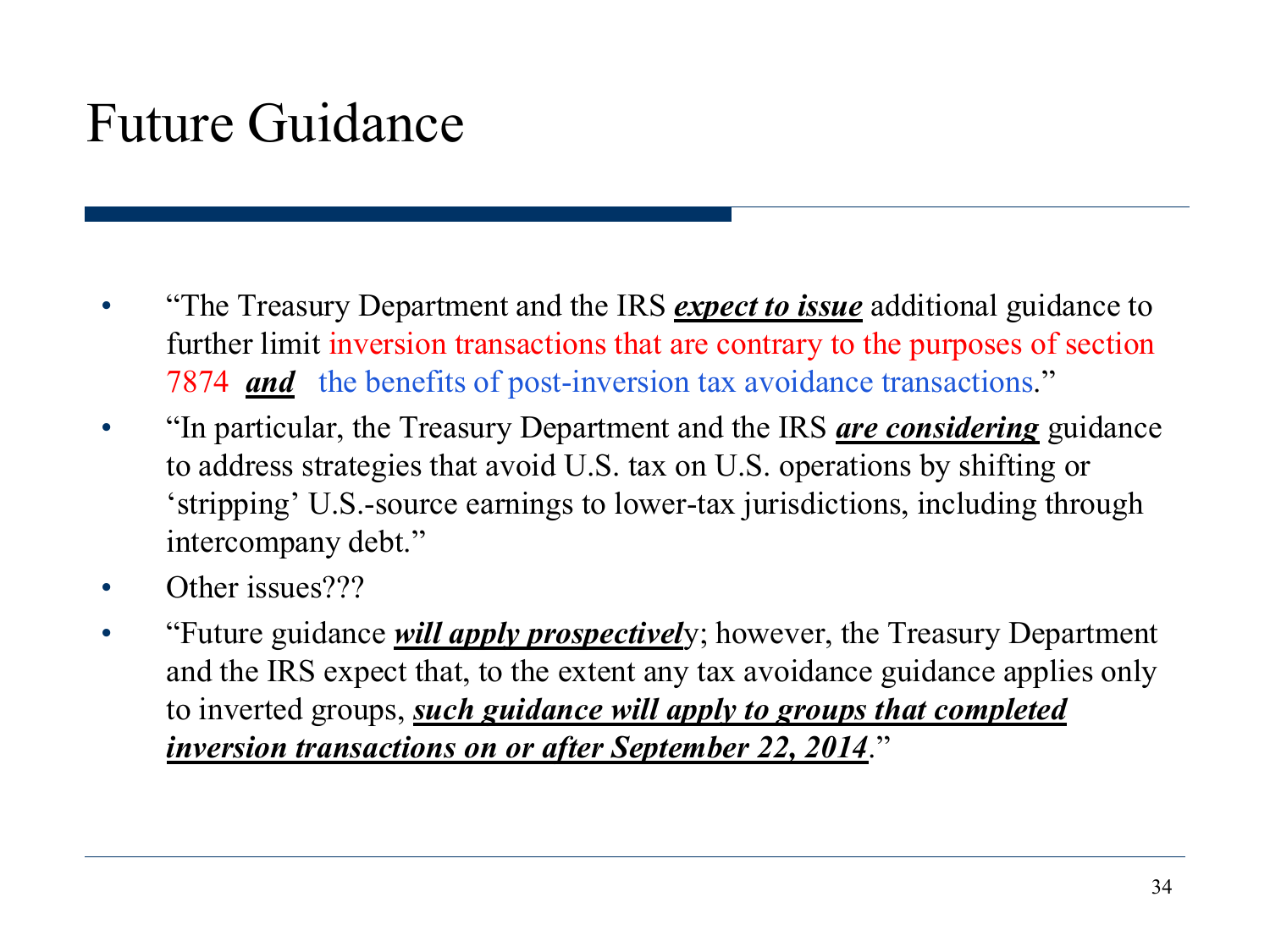#### Future Guidance

- "The Treasury Department and the IRS *expect to issue* additional guidance to further limit inversion transactions that are contrary to the purposes of section 7874 *and* the benefits of post-inversion tax avoidance transactions."
- "In particular, the Treasury Department and the IRS *are considering* guidance to address strategies that avoid U.S. tax on U.S. operations by shifting or 'stripping' U.S.-source earnings to lower-tax jurisdictions, including through intercompany debt."
- Other issues???
- "Future guidance *will apply prospectivel*y; however, the Treasury Department and the IRS expect that, to the extent any tax avoidance guidance applies only to inverted groups, *such guidance will apply to groups that completed inversion transactions on or after September 22, 2014*."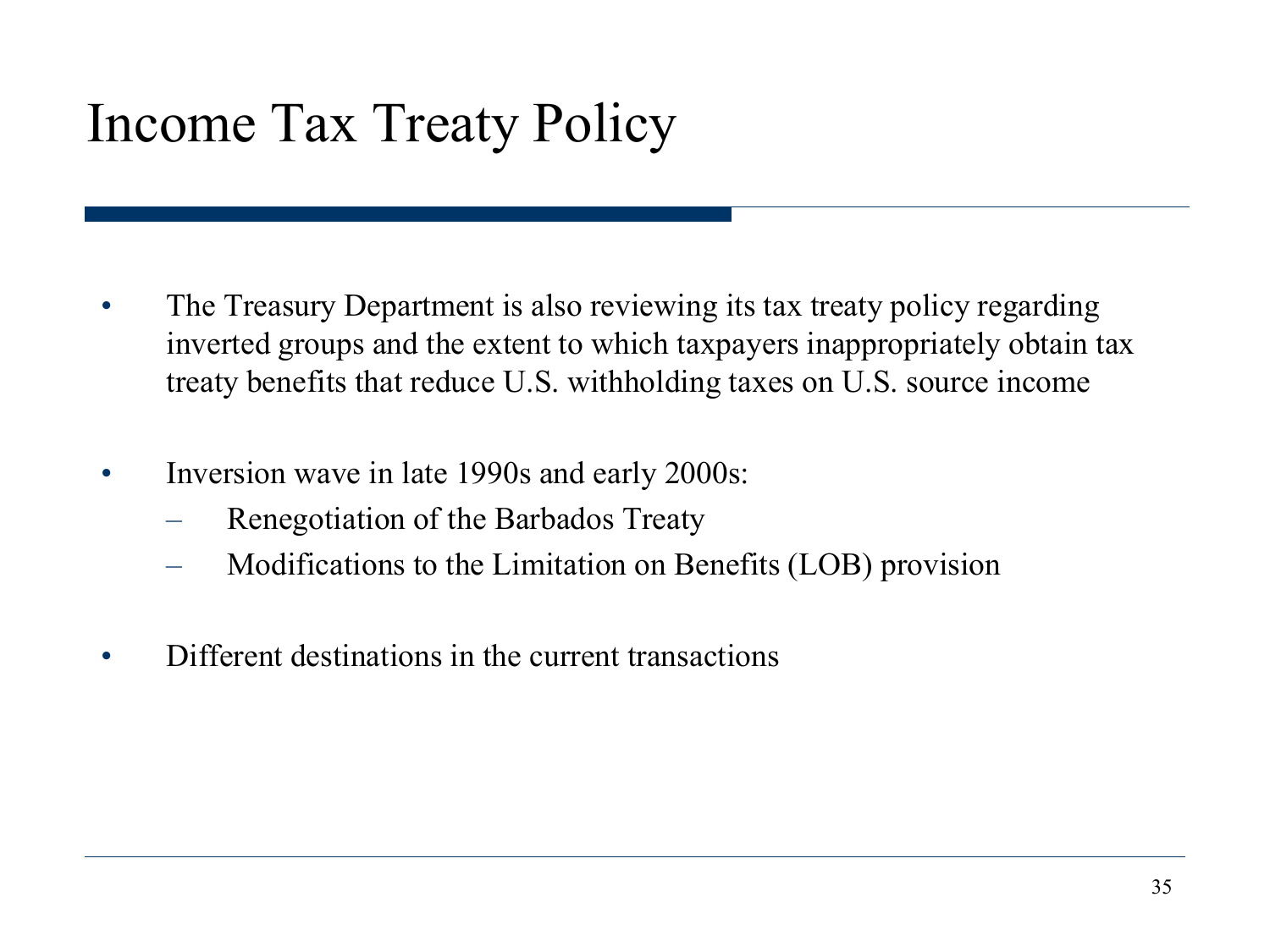#### Income Tax Treaty Policy

- The Treasury Department is also reviewing its tax treaty policy regarding inverted groups and the extent to which taxpayers inappropriately obtain tax treaty benefits that reduce U.S. withholding taxes on U.S. source income
- Inversion wave in late 1990s and early 2000s:
	- Renegotiation of the Barbados Treaty
	- Modifications to the Limitation on Benefits (LOB) provision
- Different destinations in the current transactions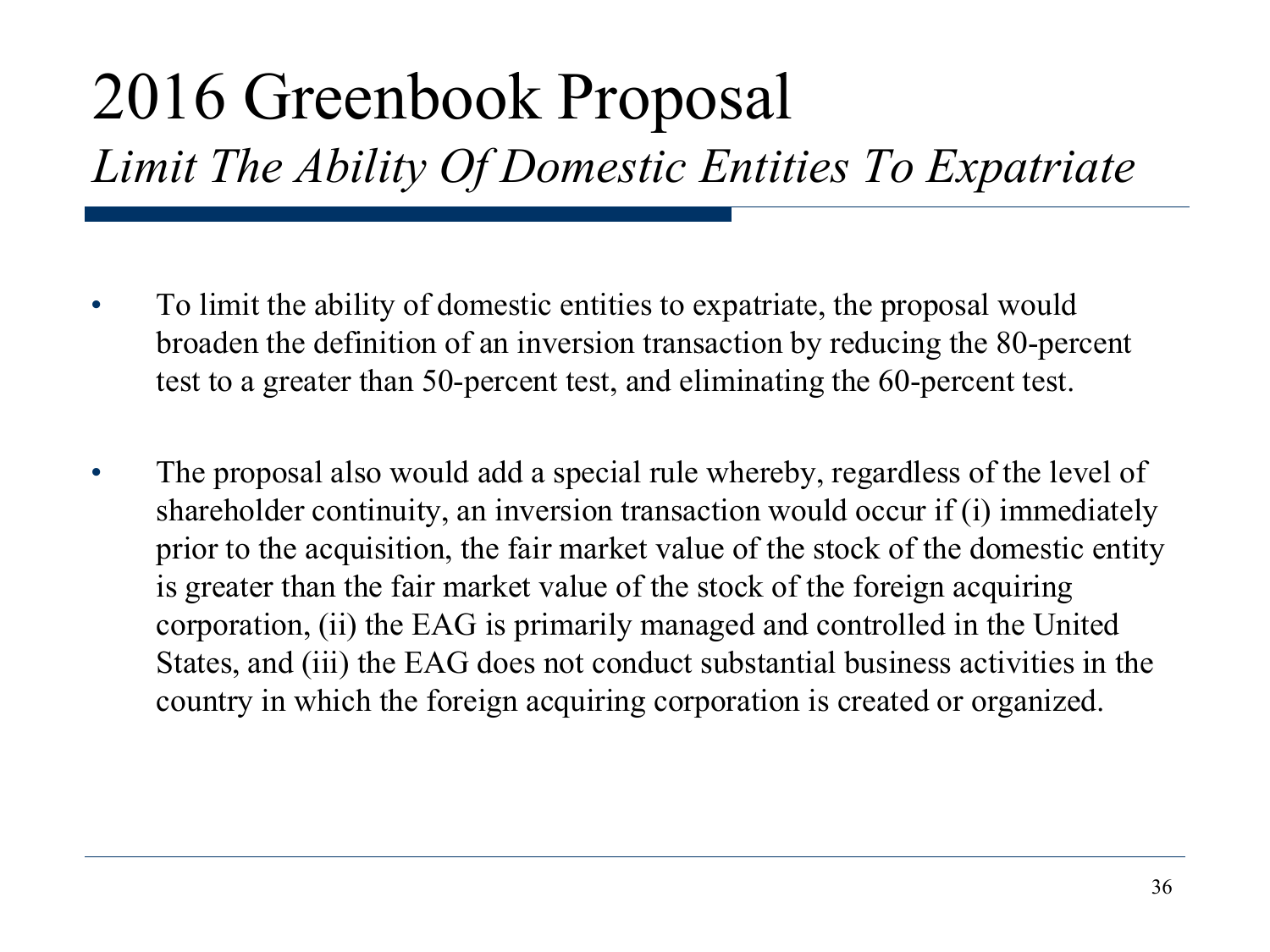## 2016 Greenbook Proposal

#### *Limit The Ability Of Domestic Entities To Expatriate*

- To limit the ability of domestic entities to expatriate, the proposal would broaden the definition of an inversion transaction by reducing the 80-percent test to a greater than 50-percent test, and eliminating the 60-percent test.
- The proposal also would add a special rule whereby, regardless of the level of shareholder continuity, an inversion transaction would occur if (i) immediately prior to the acquisition, the fair market value of the stock of the domestic entity is greater than the fair market value of the stock of the foreign acquiring corporation, (ii) the EAG is primarily managed and controlled in the United States, and (iii) the EAG does not conduct substantial business activities in the country in which the foreign acquiring corporation is created or organized.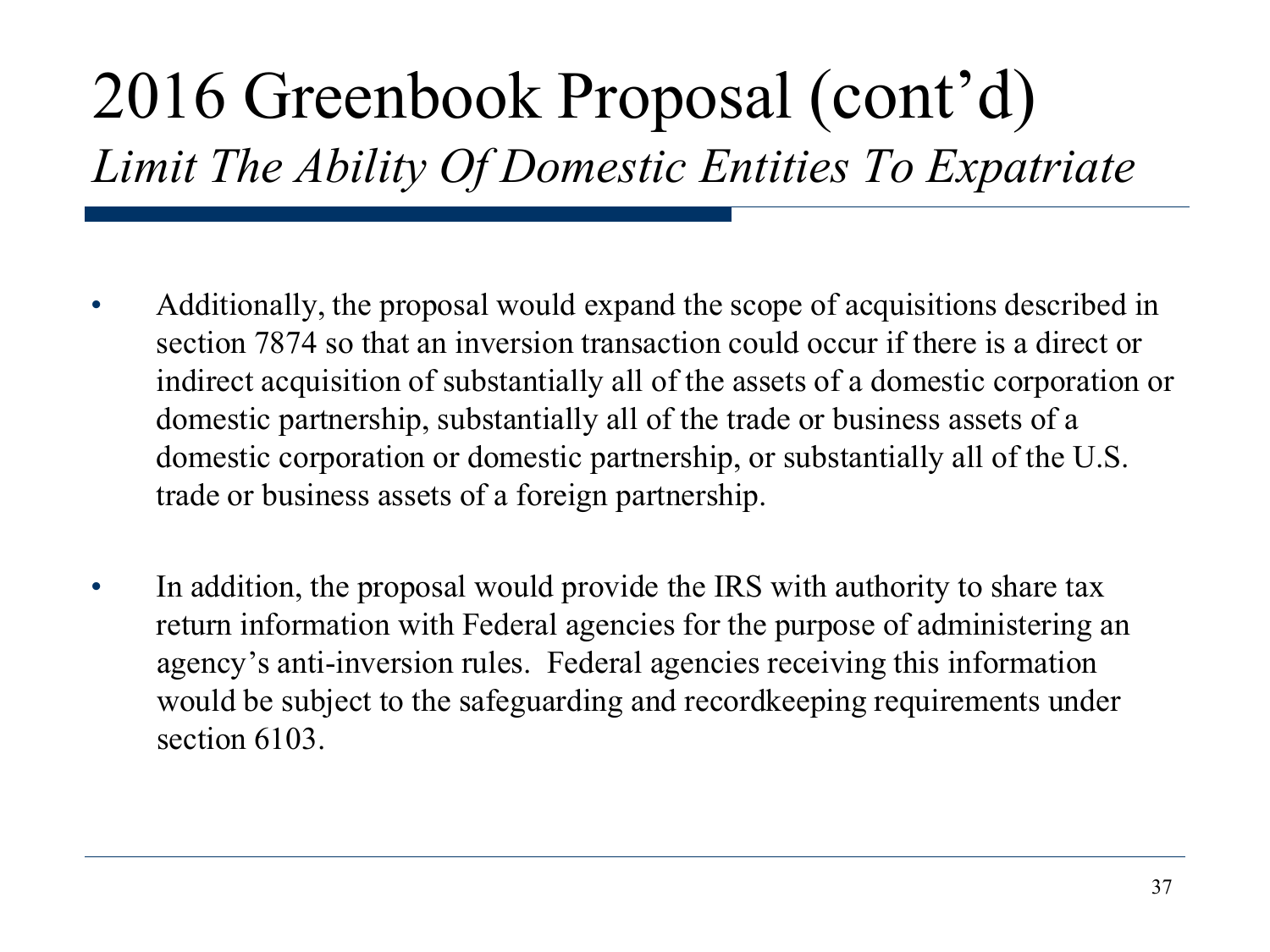# 2016 Greenbook Proposal (cont'd)

*Limit The Ability Of Domestic Entities To Expatriate*

- Additionally, the proposal would expand the scope of acquisitions described in section 7874 so that an inversion transaction could occur if there is a direct or indirect acquisition of substantially all of the assets of a domestic corporation or domestic partnership, substantially all of the trade or business assets of a domestic corporation or domestic partnership, or substantially all of the U.S. trade or business assets of a foreign partnership.
- In addition, the proposal would provide the IRS with authority to share tax return information with Federal agencies for the purpose of administering an agency's anti-inversion rules. Federal agencies receiving this information would be subject to the safeguarding and recordkeeping requirements under section 6103.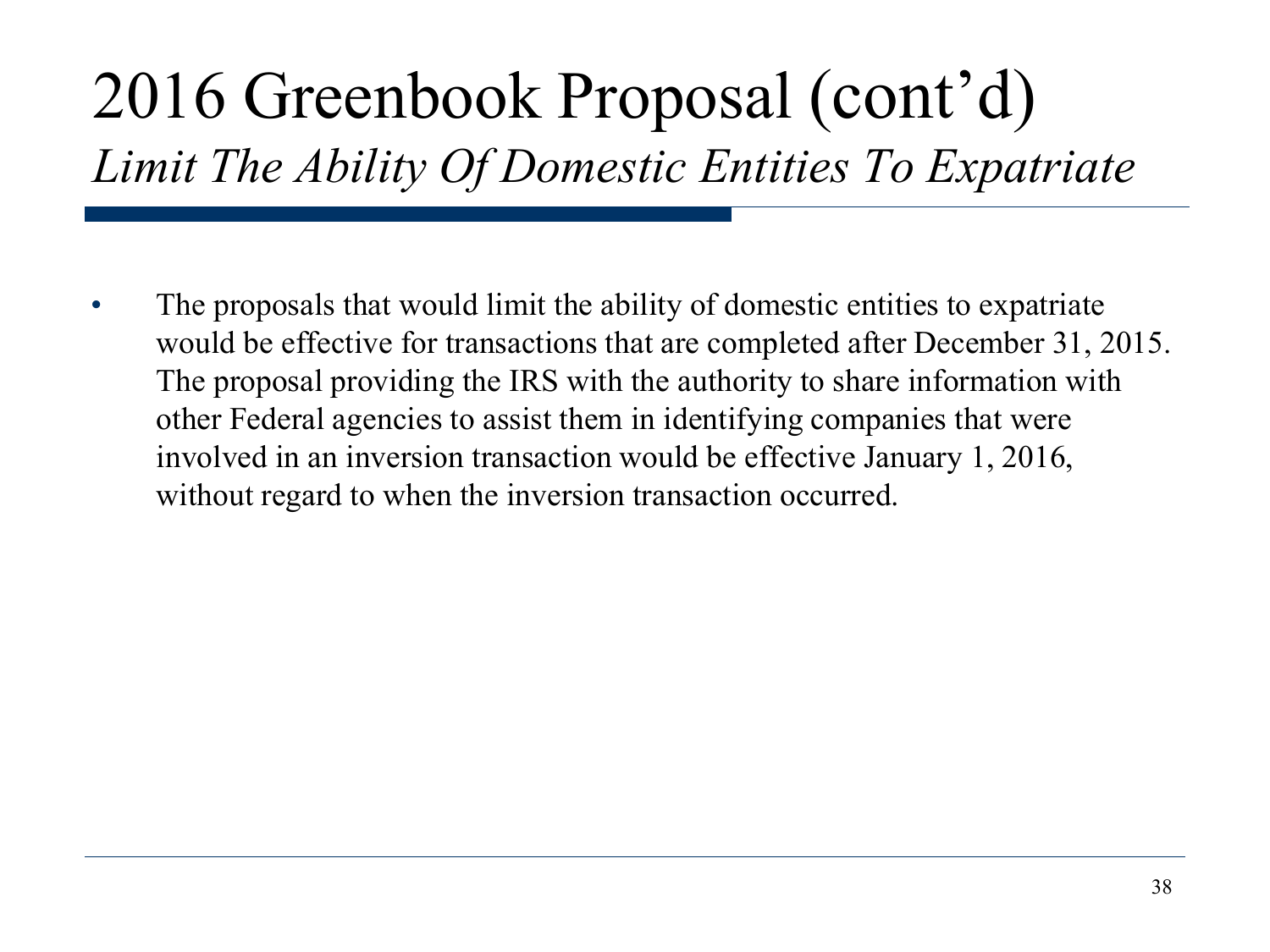# 2016 Greenbook Proposal (cont'd)

*Limit The Ability Of Domestic Entities To Expatriate*

• The proposals that would limit the ability of domestic entities to expatriate would be effective for transactions that are completed after December 31, 2015. The proposal providing the IRS with the authority to share information with other Federal agencies to assist them in identifying companies that were involved in an inversion transaction would be effective January 1, 2016, without regard to when the inversion transaction occurred.